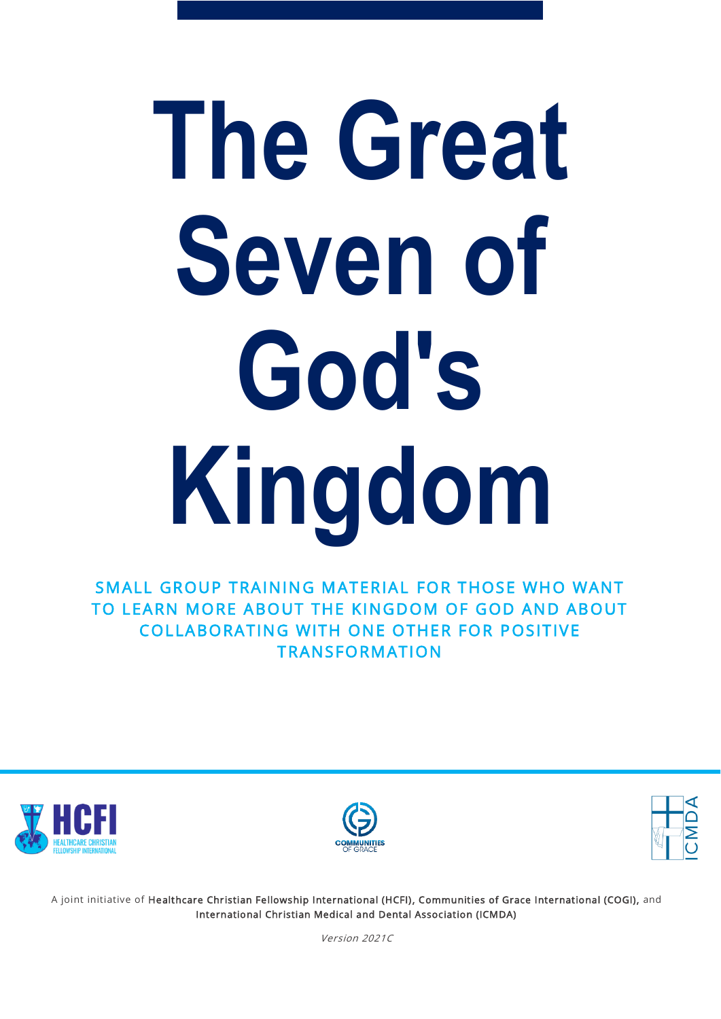# **The Great Seven of God's Kingdom**

SMALL GROUP TRAINING MATERIAL FOR THOSE WHO WANT TO LEARN MORE ABOUT THE KINGDOM OF GOD AND ABOUT COLLABORATING WITH ONE OTHER FOR POSITIVE **TRANSFORMATION** 







A joint initiative of Healthcare Christian Fellowship International (HCFI), Communities of Grace International (COGI), and International Christian Medical and Dental Association (ICMDA)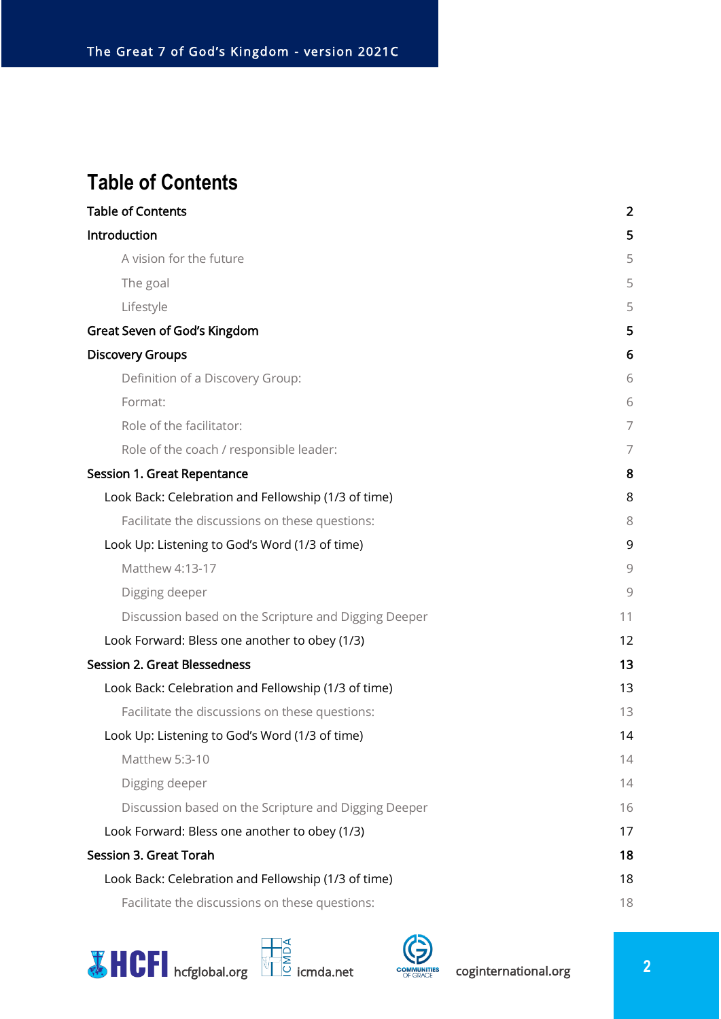## <span id="page-1-0"></span>**Table of Contents**

| <b>Table of Contents</b>                             | $\overline{2}$ |
|------------------------------------------------------|----------------|
| Introduction                                         | 5              |
| A vision for the future                              | 5              |
| The goal                                             | 5              |
| Lifestyle                                            | 5              |
| <b>Great Seven of God's Kingdom</b>                  | 5              |
| <b>Discovery Groups</b>                              | 6              |
| Definition of a Discovery Group:                     | 6              |
| Format:                                              | 6              |
| Role of the facilitator:                             | 7              |
| Role of the coach / responsible leader:              | 7              |
| <b>Session 1. Great Repentance</b>                   | 8              |
| Look Back: Celebration and Fellowship (1/3 of time)  | 8              |
| Facilitate the discussions on these questions:       | 8              |
| Look Up: Listening to God's Word (1/3 of time)       | 9              |
| Matthew 4:13-17                                      | 9              |
| Digging deeper                                       | 9              |
| Discussion based on the Scripture and Digging Deeper | 11             |
| Look Forward: Bless one another to obey (1/3)        | 12             |
| <b>Session 2. Great Blessedness</b>                  | 13             |
| Look Back: Celebration and Fellowship (1/3 of time)  | 13             |
| Facilitate the discussions on these questions:       | 13             |
| Look Up: Listening to God's Word (1/3 of time)       | 14             |
| Matthew 5:3-10                                       | 14             |
| Digging deeper                                       | 14             |
| Discussion based on the Scripture and Digging Deeper | 16             |
| Look Forward: Bless one another to obey (1/3)        | 17             |
| <b>Session 3. Great Torah</b>                        | 18             |
| Look Back: Celebration and Fellowship (1/3 of time)  | 18             |
| Facilitate the discussions on these questions:       | 18             |





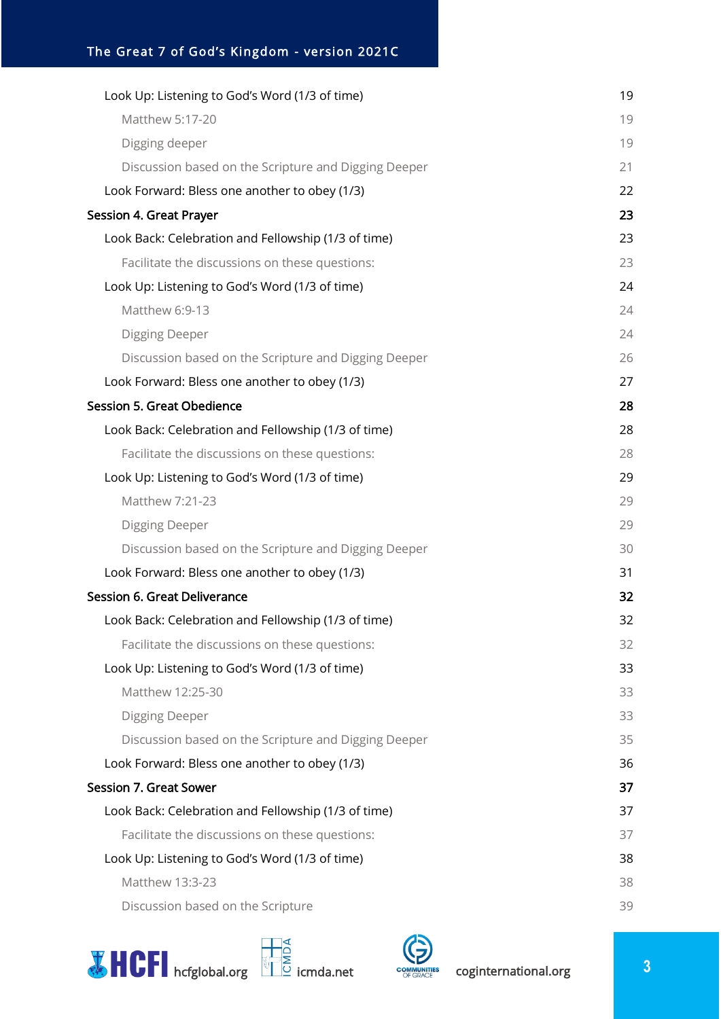| Look Up: Listening to God's Word (1/3 of time)       | 19 |
|------------------------------------------------------|----|
| Matthew 5:17-20                                      | 19 |
| Digging deeper                                       | 19 |
| Discussion based on the Scripture and Digging Deeper | 21 |
| Look Forward: Bless one another to obey (1/3)        | 22 |
| <b>Session 4. Great Prayer</b>                       | 23 |
| Look Back: Celebration and Fellowship (1/3 of time)  | 23 |
| Facilitate the discussions on these questions:       | 23 |
| Look Up: Listening to God's Word (1/3 of time)       | 24 |
| Matthew 6:9-13                                       | 24 |
| <b>Digging Deeper</b>                                | 24 |
| Discussion based on the Scripture and Digging Deeper | 26 |
| Look Forward: Bless one another to obey (1/3)        | 27 |
| <b>Session 5. Great Obedience</b>                    | 28 |
| Look Back: Celebration and Fellowship (1/3 of time)  | 28 |
| Facilitate the discussions on these questions:       | 28 |
| Look Up: Listening to God's Word (1/3 of time)       | 29 |
| Matthew 7:21-23                                      | 29 |
| Digging Deeper                                       | 29 |
| Discussion based on the Scripture and Digging Deeper | 30 |
| Look Forward: Bless one another to obey (1/3)        | 31 |
| <b>Session 6. Great Deliverance</b>                  | 32 |
| Look Back: Celebration and Fellowship (1/3 of time)  | 32 |
| Facilitate the discussions on these questions:       | 32 |
| Look Up: Listening to God's Word (1/3 of time)       | 33 |
| Matthew 12:25-30                                     | 33 |
| <b>Digging Deeper</b>                                | 33 |
| Discussion based on the Scripture and Digging Deeper | 35 |
| Look Forward: Bless one another to obey (1/3)        | 36 |
| <b>Session 7. Great Sower</b>                        | 37 |
| Look Back: Celebration and Fellowship (1/3 of time)  | 37 |
| Facilitate the discussions on these questions:       | 37 |
| Look Up: Listening to God's Word (1/3 of time)       | 38 |
| Matthew 13:3-23                                      | 38 |
| Discussion based on the Scripture                    | 39 |



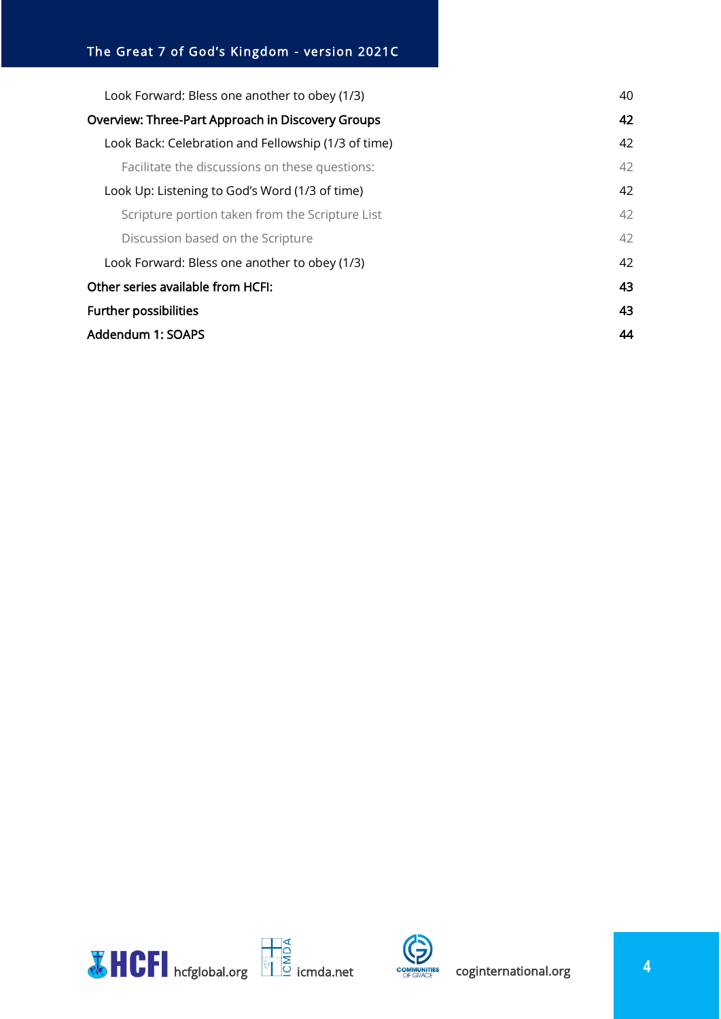| Look Forward: Bless one another to obey (1/3)       | 40 |
|-----------------------------------------------------|----|
| Overview: Three-Part Approach in Discovery Groups   |    |
| Look Back: Celebration and Fellowship (1/3 of time) | 42 |
| Facilitate the discussions on these questions:      | 42 |
| Look Up: Listening to God's Word (1/3 of time)      | 42 |
| Scripture portion taken from the Scripture List     | 42 |
| Discussion based on the Scripture                   | 42 |
| Look Forward: Bless one another to obey (1/3)       | 42 |
| Other series available from HCFI:                   | 43 |
| <b>Further possibilities</b>                        | 43 |
| Addendum 1: SOAPS                                   |    |



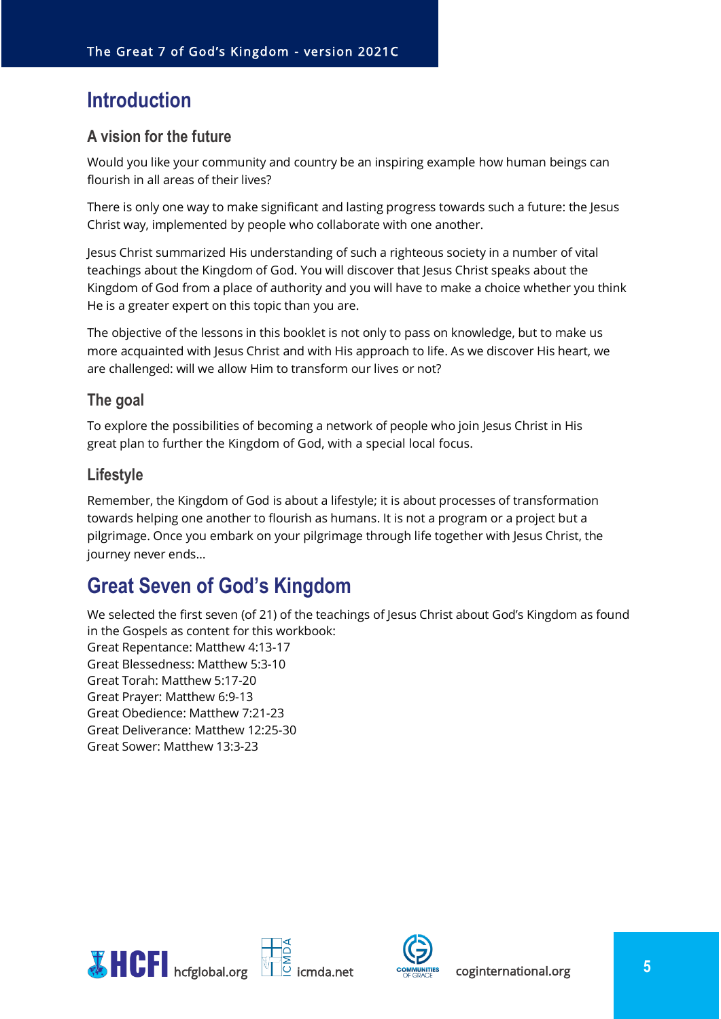## <span id="page-4-0"></span>**Introduction**

## <span id="page-4-1"></span>**A vision for the future**

Would you like your community and country be an inspiring example how human beings can flourish in all areas of their lives?

There is only one way to make significant and lasting progress towards such a future: the Jesus Christ way, implemented by people who collaborate with one another.

Jesus Christ summarized His understanding of such a righteous society in a number of vital teachings about the Kingdom of God. You will discover that Jesus Christ speaks about the Kingdom of God from a place of authority and you will have to make a choice whether you think He is a greater expert on this topic than you are.

The objective of the lessons in this booklet is not only to pass on knowledge, but to make us more acquainted with Jesus Christ and with His approach to life. As we discover His heart, we are challenged: will we allow Him to transform our lives or not?

#### <span id="page-4-2"></span>**The goal**

To explore the possibilities of becoming a network of people who join Jesus Christ in His great plan to further the Kingdom of God, with a special local focus.

## <span id="page-4-3"></span>**Lifestyle**

Remember, the Kingdom of God is about a lifestyle; it is about processes of transformation towards helping one another to flourish as humans. It is not a program or a project but a pilgrimage. Once you embark on your pilgrimage through life together with Jesus Christ, the journey never ends…

## <span id="page-4-4"></span>**Great Seven of God's Kingdom**

We selected the first seven (of 21) of the teachings of Jesus Christ about God's Kingdom as found in the Gospels as content for this workbook:

Great Repentance: Matthew 4:13-17 Great Blessedness: Matthew 5:3-10 Great Torah: Matthew 5:17-20 Great Prayer: Matthew 6:9-13 Great Obedience: Matthew 7:21-23 Great Deliverance: Matthew 12:25-30 Great Sower: Matthew 13:3-23



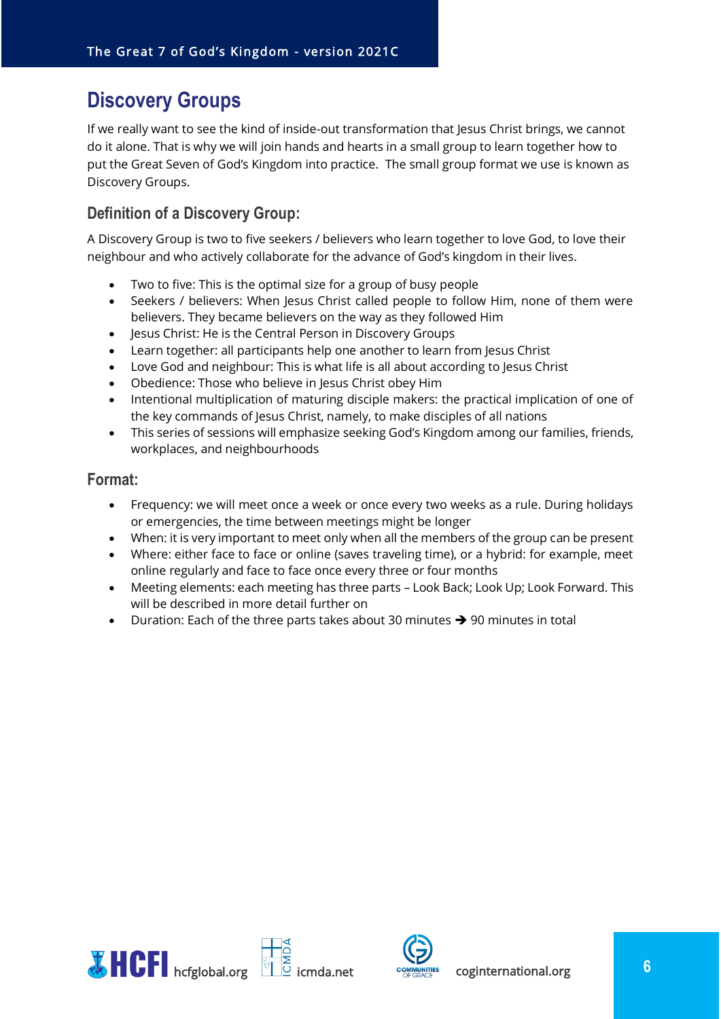## <span id="page-5-0"></span>**Discovery Groups**

If we really want to see the kind of inside-out transformation that Jesus Christ brings, we cannot do it alone. That is why we will join hands and hearts in a small group to learn together how to put the Great Seven of God's Kingdom into practice. The small group format we use is known as Discovery Groups.

## <span id="page-5-1"></span>**Definition of a Discovery Group:**

A Discovery Group is two to five seekers / believers who learn together to love God, to love their neighbour and who actively collaborate for the advance of God's kingdom in their lives.

- Two to five: This is the optimal size for a group of busy people
- Seekers / believers: When Jesus Christ called people to follow Him, none of them were believers. They became believers on the way as they followed Him
- Jesus Christ: He is the Central Person in Discovery Groups
- Learn together: all participants help one another to learn from Jesus Christ
- Love God and neighbour: This is what life is all about according to Jesus Christ
- Obedience: Those who believe in Jesus Christ obey Him
- Intentional multiplication of maturing disciple makers: the practical implication of one of the key commands of Jesus Christ, namely, to make disciples of all nations
- This series of sessions will emphasize seeking God's Kingdom among our families, friends, workplaces, and neighbourhoods

#### <span id="page-5-2"></span>**Format:**

- Frequency: we will meet once a week or once every two weeks as a rule. During holidays or emergencies, the time between meetings might be longer
- When: it is very important to meet only when all the members of the group can be present
- Where: either face to face or online (saves traveling time), or a hybrid: for example, meet online regularly and face to face once every three or four months
- Meeting elements: each meeting has three parts Look Back; Look Up; Look Forward. This will be described in more detail further on
- Duration: Each of the three parts takes about 30 minutes  $\rightarrow$  90 minutes in total



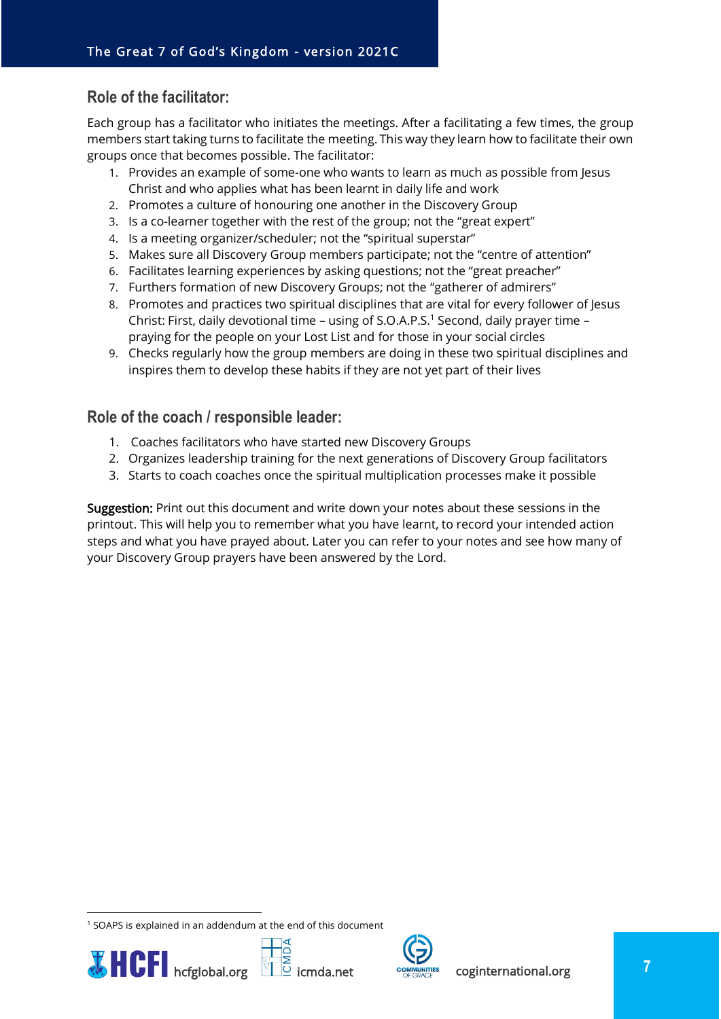## <span id="page-6-0"></span>**Role of the facilitator:**

Each group has a facilitator who initiates the meetings. After a facilitating a few times, the group members start taking turns to facilitate the meeting. This way they learn how to facilitate their own groups once that becomes possible. The facilitator:

- 1. Provides an example of some-one who wants to learn as much as possible from Jesus Christ and who applies what has been learnt in daily life and work
- 2. Promotes a culture of honouring one another in the Discovery Group
- 3. Is a co-learner together with the rest of the group; not the "great expert"
- 4. Is a meeting organizer/scheduler; not the "spiritual superstar"
- 5. Makes sure all Discovery Group members participate; not the "centre of attention"
- 6. Facilitates learning experiences by asking questions; not the "great preacher"
- 7. Furthers formation of new Discovery Groups; not the "gatherer of admirers"
- 8. Promotes and practices two spiritual disciplines that are vital for every follower of Jesus Christ: First, daily devotional time – using of S.O.A.P.S.<sup>1</sup> Second, daily prayer time – praying for the people on your Lost List and for those in your social circles
- 9. Checks regularly how the group members are doing in these two spiritual disciplines and inspires them to develop these habits if they are not yet part of their lives

## <span id="page-6-1"></span>**Role of the coach / responsible leader:**

- 1. Coaches facilitators who have started new Discovery Groups
- 2. Organizes leadership training for the next generations of Discovery Group facilitators
- 3. Starts to coach coaches once the spiritual multiplication processes make it possible

Suggestion: Print out this document and write down your notes about these sessions in the printout. This will help you to remember what you have learnt, to record your intended action steps and what you have prayed about. Later you can refer to your notes and see how many of your Discovery Group prayers have been answered by the Lord.

<sup>&</sup>lt;sup>1</sup> SOAPS is explained in an addendum at the end of this document





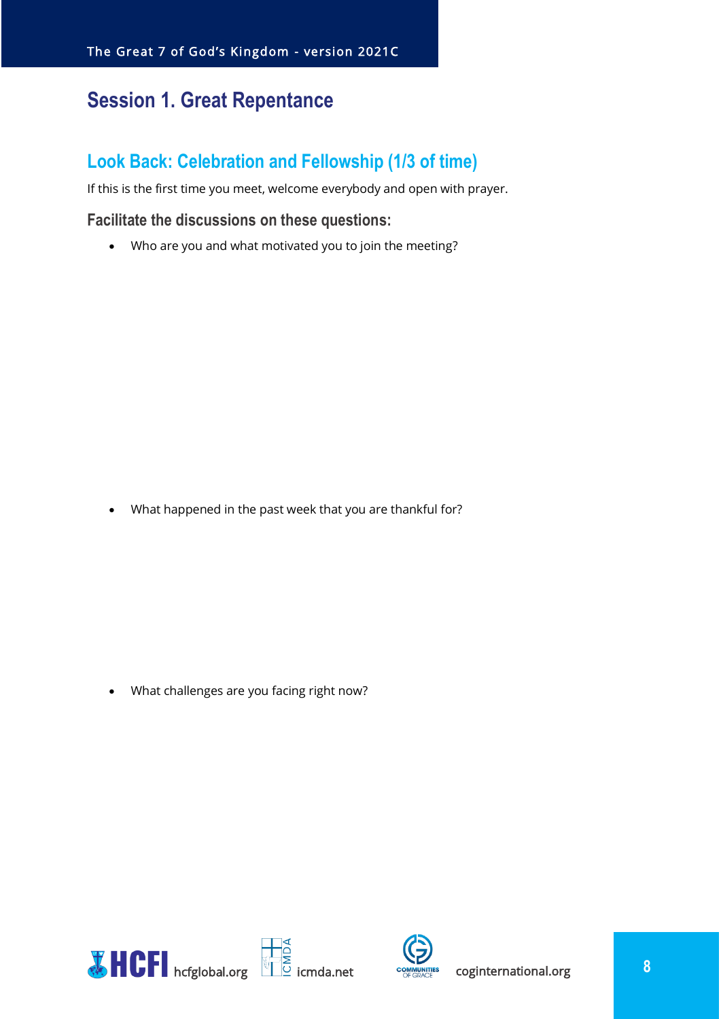## <span id="page-7-0"></span>**Session 1. Great Repentance**

## <span id="page-7-1"></span>**Look Back: Celebration and Fellowship (1/3 of time)**

If this is the first time you meet, welcome everybody and open with prayer.

#### <span id="page-7-2"></span>**Facilitate the discussions on these questions:**

• Who are you and what motivated you to join the meeting?

• What happened in the past week that you are thankful for?

• What challenges are you facing right now?



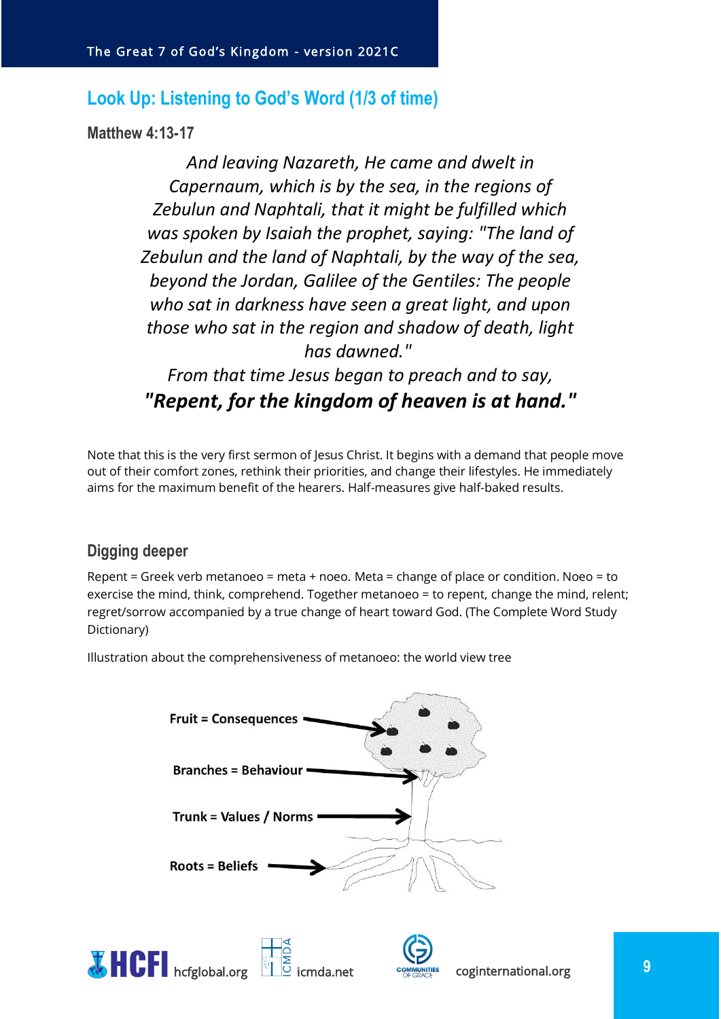## <span id="page-8-0"></span>**Look Up: Listening to God's Word (1/3 of time)**

<span id="page-8-1"></span>**Matthew 4:13-17** 

*And leaving Nazareth, He came and dwelt in Capernaum, which is by the sea, in the regions of Zebulun and Naphtali, that it might be fulfilled which was spoken by Isaiah the prophet, saying: "The land of Zebulun and the land of Naphtali, by the way of the sea, beyond the Jordan, Galilee of the Gentiles: The people who sat in darkness have seen a great light, and upon those who sat in the region and shadow of death, light has dawned."*

*From that time Jesus began to preach and to say, "Repent, for the kingdom of heaven is at hand."*

Note that this is the very first sermon of Jesus Christ. It begins with a demand that people move out of their comfort zones, rethink their priorities, and change their lifestyles. He immediately aims for the maximum benefit of the hearers. Half-measures give half-baked results.

## <span id="page-8-2"></span>**Digging deeper**

Repent = Greek verb metanoeo = meta + noeo. Meta = change of place or condition. Noeo = to exercise the mind, think, comprehend. Together metanoeo = to repent, change the mind, relent; regret/sorrow accompanied by a true change of heart toward God. (The Complete Word Study Dictionary)

Illustration about the comprehensiveness of metanoeo: the world view tree



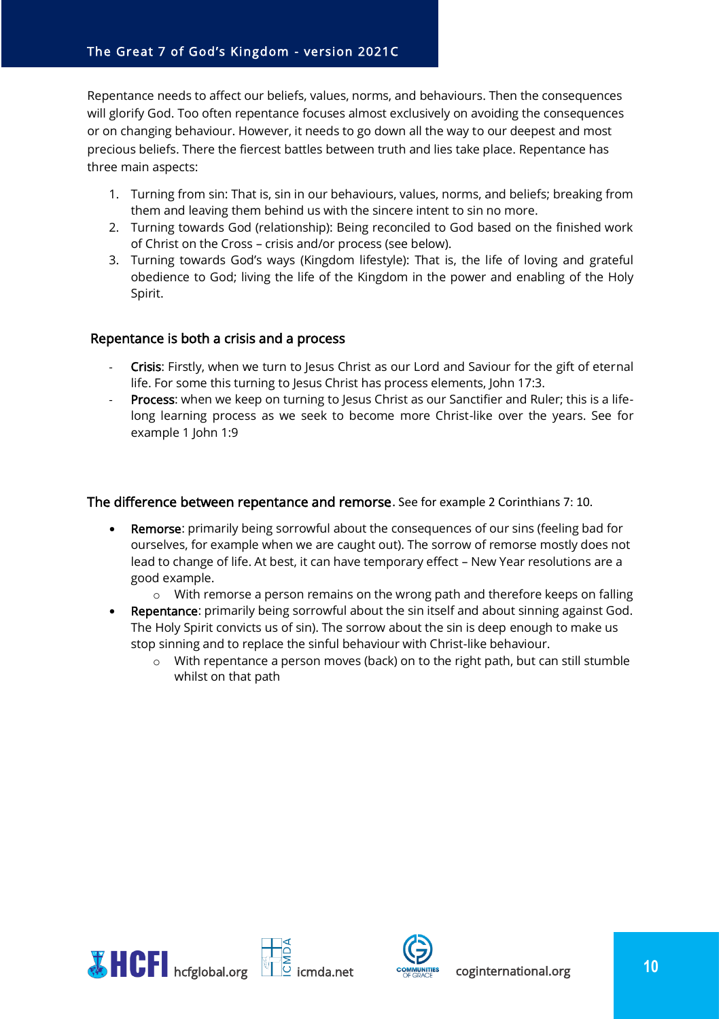Repentance needs to affect our beliefs, values, norms, and behaviours. Then the consequences will glorify God. Too often repentance focuses almost exclusively on avoiding the consequences or on changing behaviour. However, it needs to go down all the way to our deepest and most precious beliefs. There the fiercest battles between truth and lies take place. Repentance has three main aspects:

- 1. Turning from sin: That is, sin in our behaviours, values, norms, and beliefs; breaking from them and leaving them behind us with the sincere intent to sin no more.
- 2. Turning towards God (relationship): Being reconciled to God based on the finished work of Christ on the Cross – crisis and/or process (see below).
- 3. Turning towards God's ways (Kingdom lifestyle): That is, the life of loving and grateful obedience to God; living the life of the Kingdom in the power and enabling of the Holy Spirit.

#### Repentance is both a crisis and a process

- Crisis: Firstly, when we turn to Jesus Christ as our Lord and Saviour for the gift of eternal life. For some this turning to Jesus Christ has process elements, John 17:3.
- Process: when we keep on turning to Jesus Christ as our Sanctifier and Ruler; this is a lifelong learning process as we seek to become more Christ-like over the years. See for example 1 John 1:9

#### The difference between repentance and remorse. See for example 2 Corinthians 7: 10.

- **Remorse:** primarily being sorrowful about the consequences of our sins (feeling bad for ourselves, for example when we are caught out). The sorrow of remorse mostly does not lead to change of life. At best, it can have temporary effect – New Year resolutions are a good example.
	- $\circ$  With remorse a person remains on the wrong path and therefore keeps on falling
- Repentance: primarily being sorrowful about the sin itself and about sinning against God. The Holy Spirit convicts us of sin). The sorrow about the sin is deep enough to make us stop sinning and to replace the sinful behaviour with Christ-like behaviour.
	- $\circ$  With repentance a person moves (back) on to the right path, but can still stumble whilst on that path



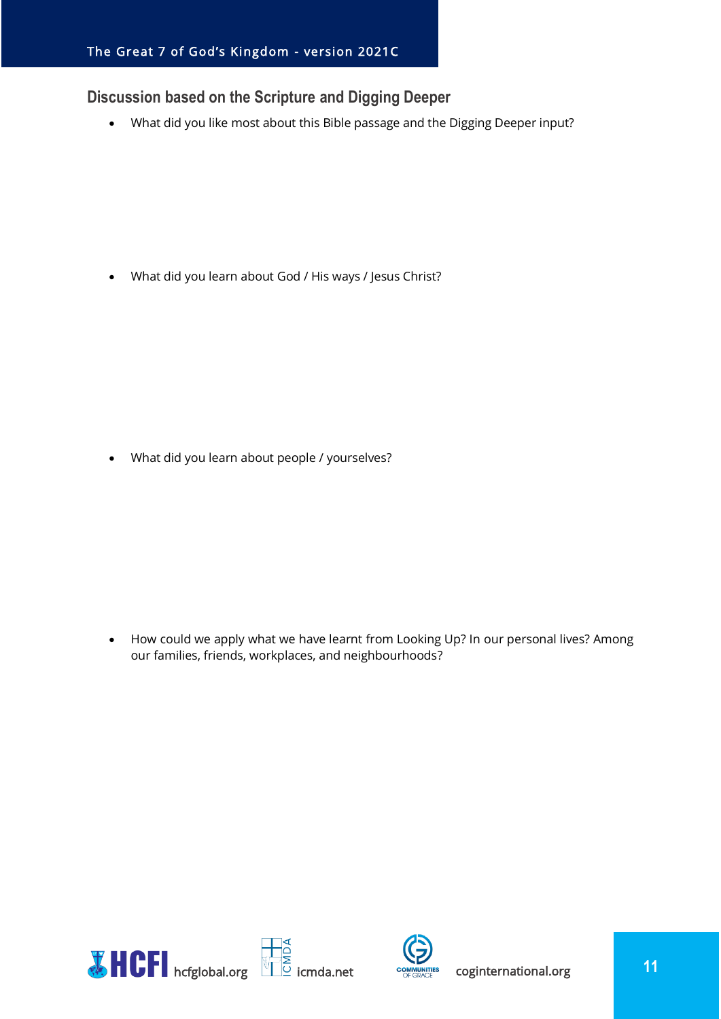## <span id="page-10-0"></span>**Discussion based on the Scripture and Digging Deeper**

• What did you like most about this Bible passage and the Digging Deeper input?

• What did you learn about God / His ways / Jesus Christ?

• What did you learn about people / yourselves?

• How could we apply what we have learnt from Looking Up? In our personal lives? Among our families, friends, workplaces, and neighbourhoods?



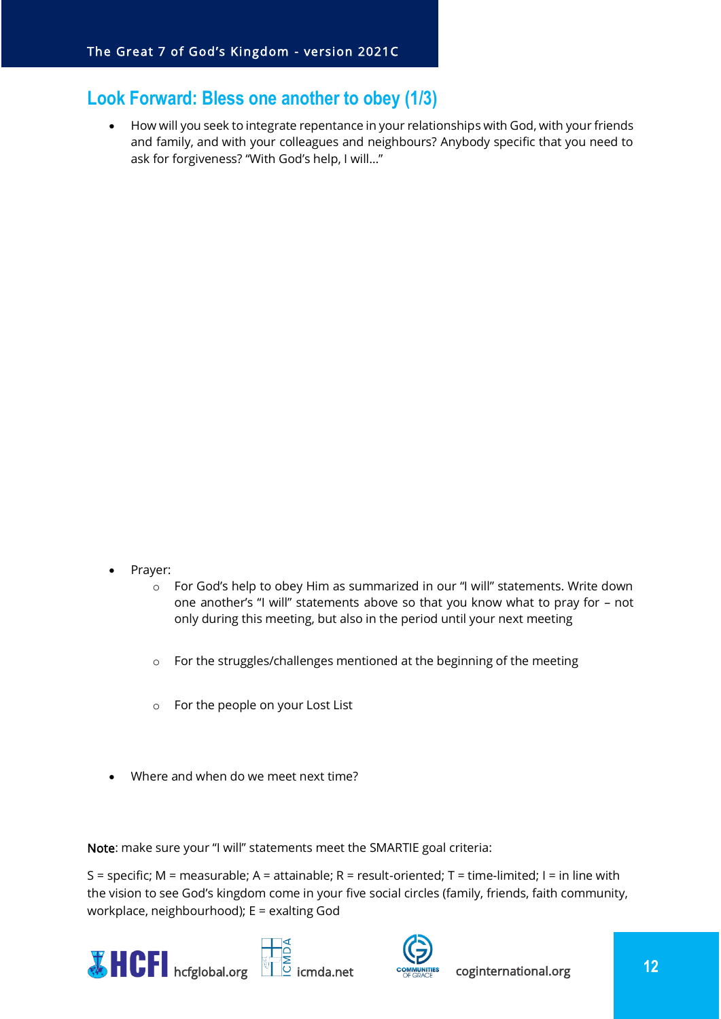## <span id="page-11-0"></span>**Look Forward: Bless one another to obey (1/3)**

• How will you seek to integrate repentance in your relationships with God, with your friends and family, and with your colleagues and neighbours? Anybody specific that you need to ask for forgiveness? "With God's help, I will…"

- Prayer:
	- o For God's help to obey Him as summarized in our "I will" statements. Write down one another's "I will" statements above so that you know what to pray for – not only during this meeting, but also in the period until your next meeting
	- o For the struggles/challenges mentioned at the beginning of the meeting
	- o For the people on your Lost List
- Where and when do we meet next time?

Note: make sure your "I will" statements meet the SMARTIE goal criteria:

S = specific; M = measurable; A = attainable; R = result-oriented; T = time-limited; I = in line with the vision to see God's kingdom come in your five social circles (family, friends, faith community, workplace, neighbourhood); E = exalting God





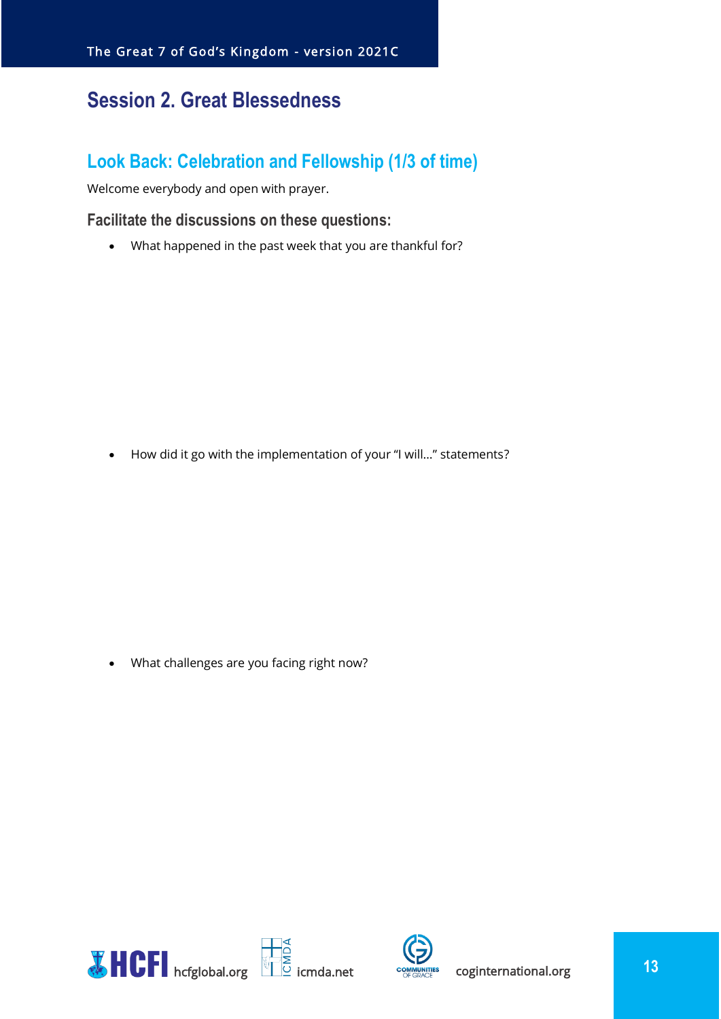## <span id="page-12-0"></span>**Session 2. Great Blessedness**

## <span id="page-12-1"></span>**Look Back: Celebration and Fellowship (1/3 of time)**

Welcome everybody and open with prayer.

#### <span id="page-12-2"></span>**Facilitate the discussions on these questions:**

• What happened in the past week that you are thankful for?

• How did it go with the implementation of your "I will…" statements?

• What challenges are you facing right now?



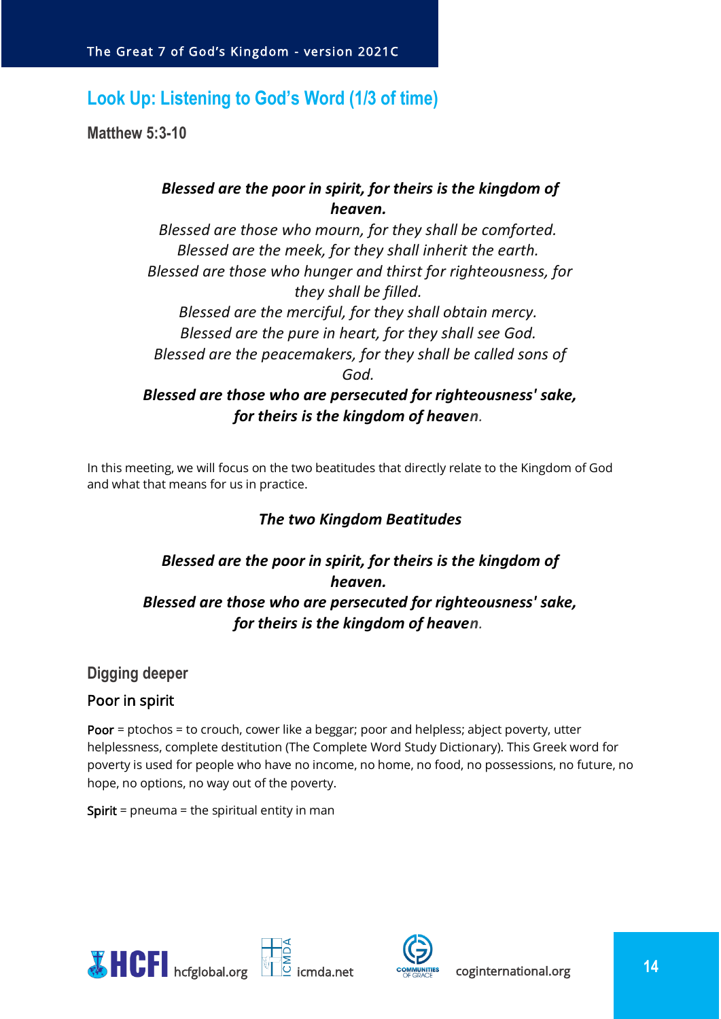## <span id="page-13-0"></span>**Look Up: Listening to God's Word (1/3 of time)**

<span id="page-13-1"></span>**Matthew 5:3-10**

## *Blessed are the poor in spirit, for theirs is the kingdom of heaven.*

*Blessed are those who mourn, for they shall be comforted. Blessed are the meek, for they shall inherit the earth. Blessed are those who hunger and thirst for righteousness, for they shall be filled. Blessed are the merciful, for they shall obtain mercy. Blessed are the pure in heart, for they shall see God. Blessed are the peacemakers, for they shall be called sons of God. Blessed are those who are persecuted for righteousness' sake, for theirs is the kingdom of heaven.*

In this meeting, we will focus on the two beatitudes that directly relate to the Kingdom of God and what that means for us in practice.

## *The two Kingdom Beatitudes*

## *Blessed are the poor in spirit, for theirs is the kingdom of heaven. Blessed are those who are persecuted for righteousness' sake, for theirs is the kingdom of heaven.*

#### <span id="page-13-2"></span>**Digging deeper**

#### Poor in spirit

Poor = ptochos = to crouch, cower like a beggar; poor and helpless; abject poverty, utter helplessness, complete destitution (The Complete Word Study Dictionary). This Greek word for poverty is used for people who have no income, no home, no food, no possessions, no future, no hope, no options, no way out of the poverty.

**Spirit** = pneuma = the spiritual entity in man



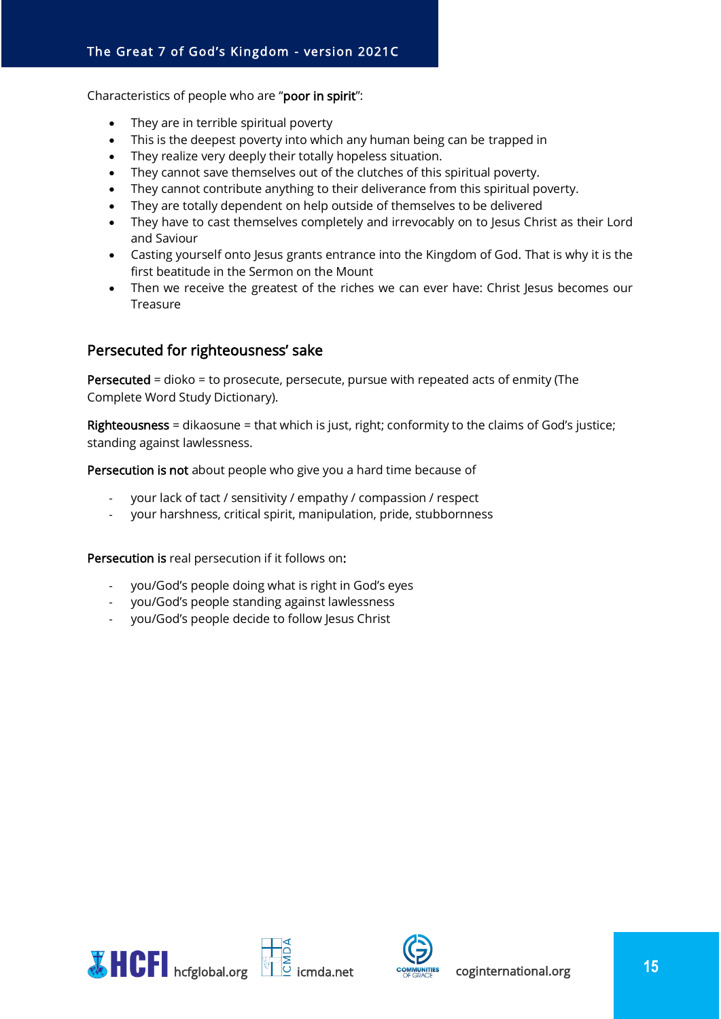Characteristics of people who are "poor in spirit":

- They are in terrible spiritual poverty
- This is the deepest poverty into which any human being can be trapped in
- They realize very deeply their totally hopeless situation.
- They cannot save themselves out of the clutches of this spiritual poverty.
- They cannot contribute anything to their deliverance from this spiritual poverty.
- They are totally dependent on help outside of themselves to be delivered
- They have to cast themselves completely and irrevocably on to Jesus Christ as their Lord and Saviour
- Casting yourself onto Jesus grants entrance into the Kingdom of God. That is why it is the first beatitude in the Sermon on the Mount
- Then we receive the greatest of the riches we can ever have: Christ lesus becomes our Treasure

#### Persecuted for righteousness' sake

Persecuted = dioko = to prosecute, persecute, pursue with repeated acts of enmity (The Complete Word Study Dictionary).

Righteousness = dikaosune = that which is just, right; conformity to the claims of God's justice; standing against lawlessness.

Persecution is not about people who give you a hard time because of

- your lack of tact / sensitivity / empathy / compassion / respect
- your harshness, critical spirit, manipulation, pride, stubbornness

Persecution is real persecution if it follows on:

- you/God's people doing what is right in God's eyes
- you/God's people standing against lawlessness
- you/God's people decide to follow Jesus Christ



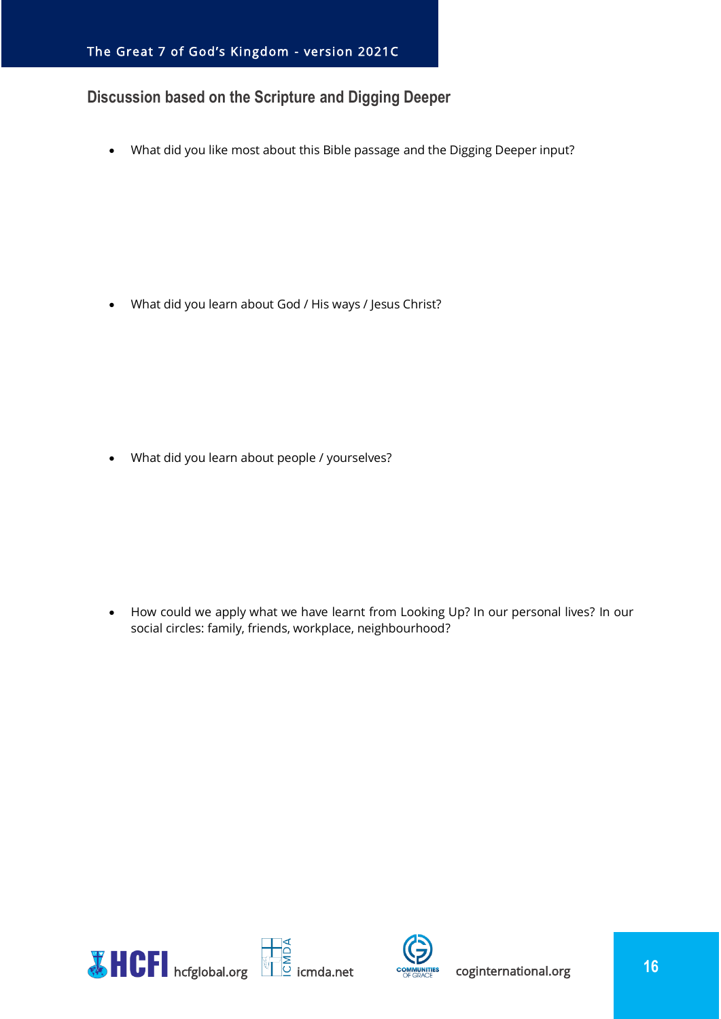## <span id="page-15-0"></span>**Discussion based on the Scripture and Digging Deeper**

• What did you like most about this Bible passage and the Digging Deeper input?

• What did you learn about God / His ways / Jesus Christ?

• What did you learn about people / yourselves?

• How could we apply what we have learnt from Looking Up? In our personal lives? In our social circles: family, friends, workplace, neighbourhood?



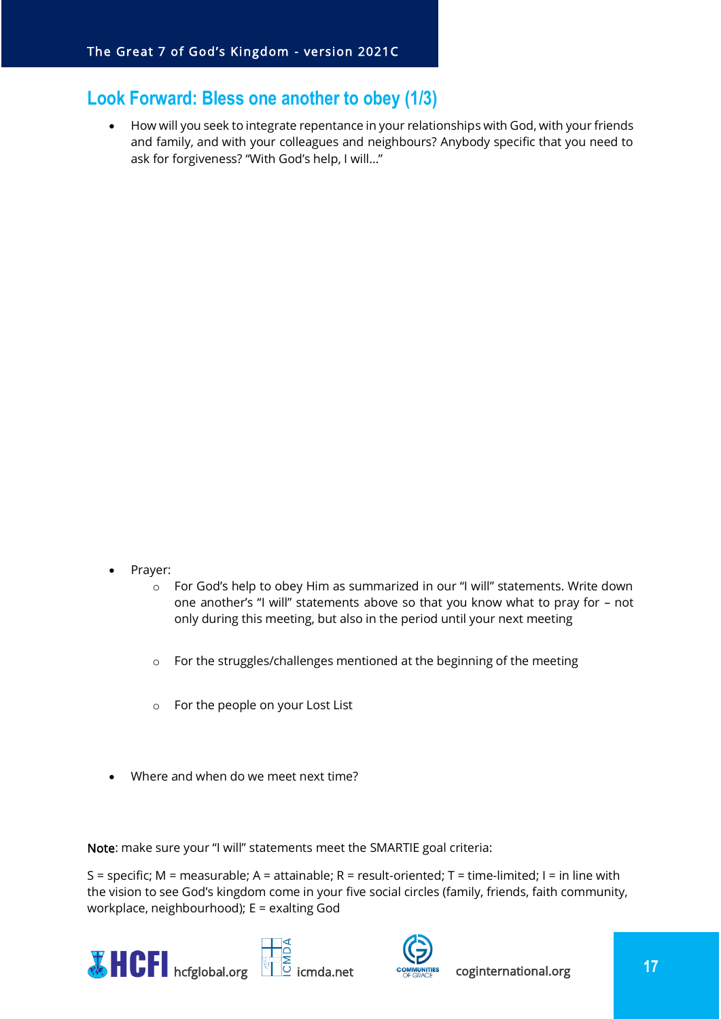## <span id="page-16-0"></span>**Look Forward: Bless one another to obey (1/3)**

• How will you seek to integrate repentance in your relationships with God, with your friends and family, and with your colleagues and neighbours? Anybody specific that you need to ask for forgiveness? "With God's help, I will…"

- Prayer:
	- o For God's help to obey Him as summarized in our "I will" statements. Write down one another's "I will" statements above so that you know what to pray for – not only during this meeting, but also in the period until your next meeting
	- o For the struggles/challenges mentioned at the beginning of the meeting
	- o For the people on your Lost List
- Where and when do we meet next time?

Note: make sure your "I will" statements meet the SMARTIE goal criteria:

S = specific; M = measurable; A = attainable; R = result-oriented; T = time-limited; I = in line with the vision to see God's kingdom come in your five social circles (family, friends, faith community, workplace, neighbourhood); E = exalting God





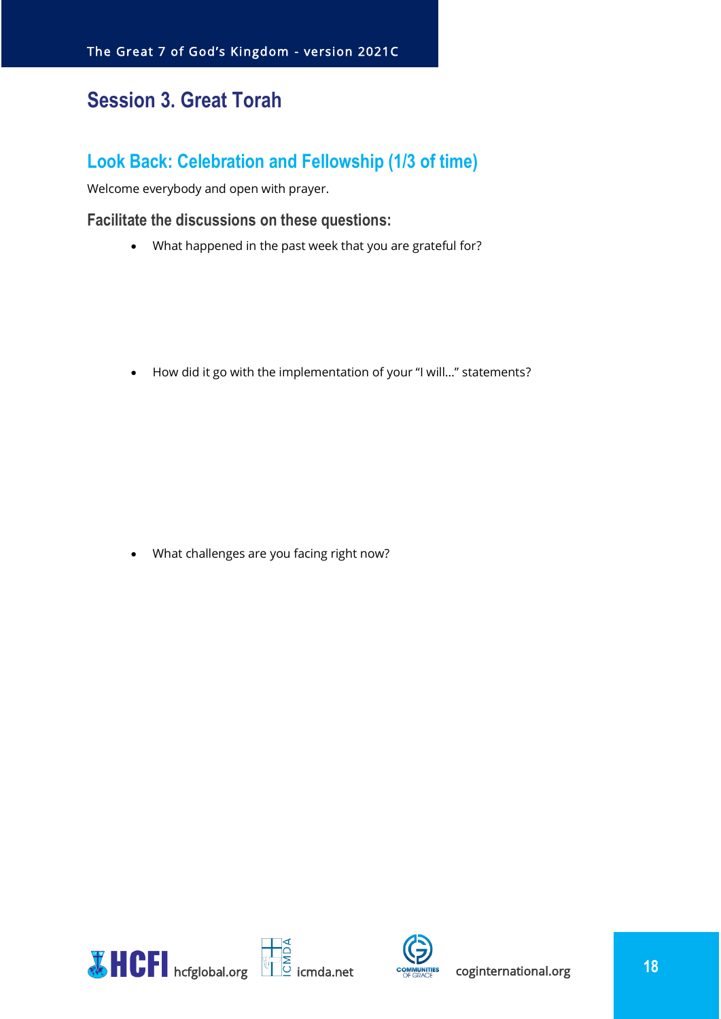## <span id="page-17-0"></span>**Session 3. Great Torah**

## <span id="page-17-1"></span>**Look Back: Celebration and Fellowship (1/3 of time)**

Welcome everybody and open with prayer.

#### <span id="page-17-2"></span>**Facilitate the discussions on these questions:**

• What happened in the past week that you are grateful for?

• How did it go with the implementation of your "I will…" statements?

• What challenges are you facing right now?



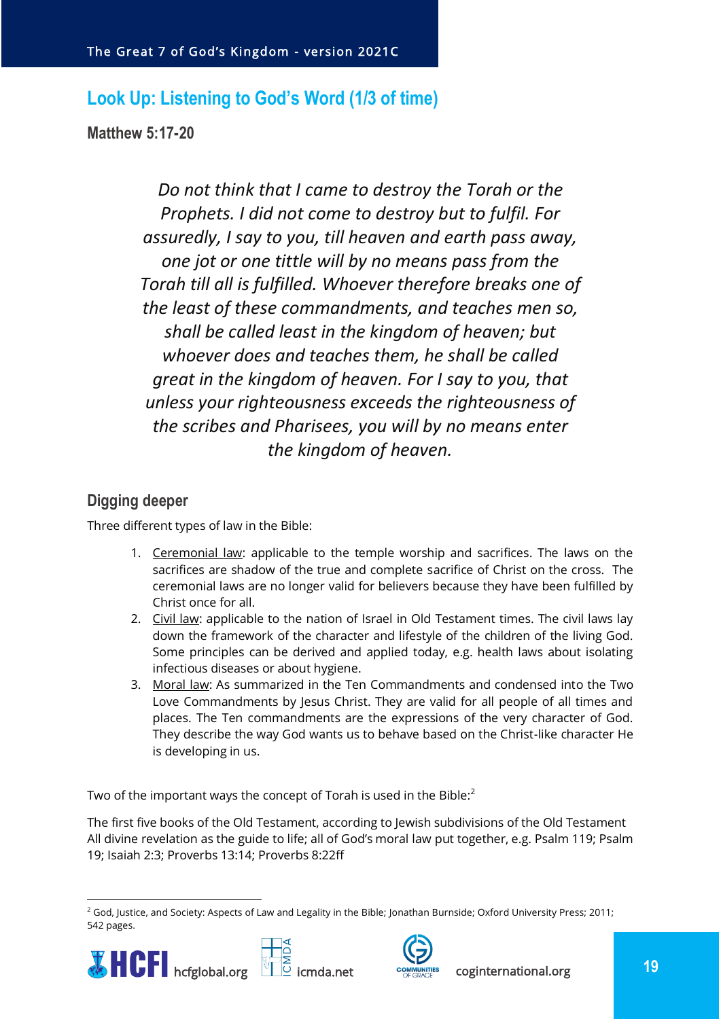## <span id="page-18-0"></span>**Look Up: Listening to God's Word (1/3 of time)**

<span id="page-18-1"></span>**Matthew 5:17-20**

*Do not think that I came to destroy the Torah or the Prophets. I did not come to destroy but to fulfil. For assuredly, I say to you, till heaven and earth pass away, one jot or one tittle will by no means pass from the Torah till all is fulfilled. Whoever therefore breaks one of the least of these commandments, and teaches men so, shall be called least in the kingdom of heaven; but whoever does and teaches them, he shall be called great in the kingdom of heaven. For I say to you, that unless your righteousness exceeds the righteousness of the scribes and Pharisees, you will by no means enter the kingdom of heaven.*

## <span id="page-18-2"></span>**Digging deeper**

Three different types of law in the Bible:

- 1. Ceremonial law: applicable to the temple worship and sacrifices. The laws on the sacrifices are shadow of the true and complete sacrifice of Christ on the cross. The ceremonial laws are no longer valid for believers because they have been fulfilled by Christ once for all.
- 2. Civil law: applicable to the nation of Israel in Old Testament times. The civil laws lay down the framework of the character and lifestyle of the children of the living God. Some principles can be derived and applied today, e.g. health laws about isolating infectious diseases or about hygiene.
- 3. Moral law: As summarized in the Ten Commandments and condensed into the Two Love Commandments by Jesus Christ. They are valid for all people of all times and places. The Ten commandments are the expressions of the very character of God. They describe the way God wants us to behave based on the Christ-like character He is developing in us.

Two of the important ways the concept of Torah is used in the Bible:<sup>2</sup>

The first five books of the Old Testament, according to Jewish subdivisions of the Old Testament All divine revelation as the guide to life; all of God's moral law put together, e.g. Psalm 119; Psalm 19; Isaiah 2:3; Proverbs 13:14; Proverbs 8:22ff

<sup>&</sup>lt;sup>2</sup> God, Justice, and Society: Aspects of Law and Legality in the Bible; Jonathan Burnside; Oxford University Press; 2011; 542 pages.





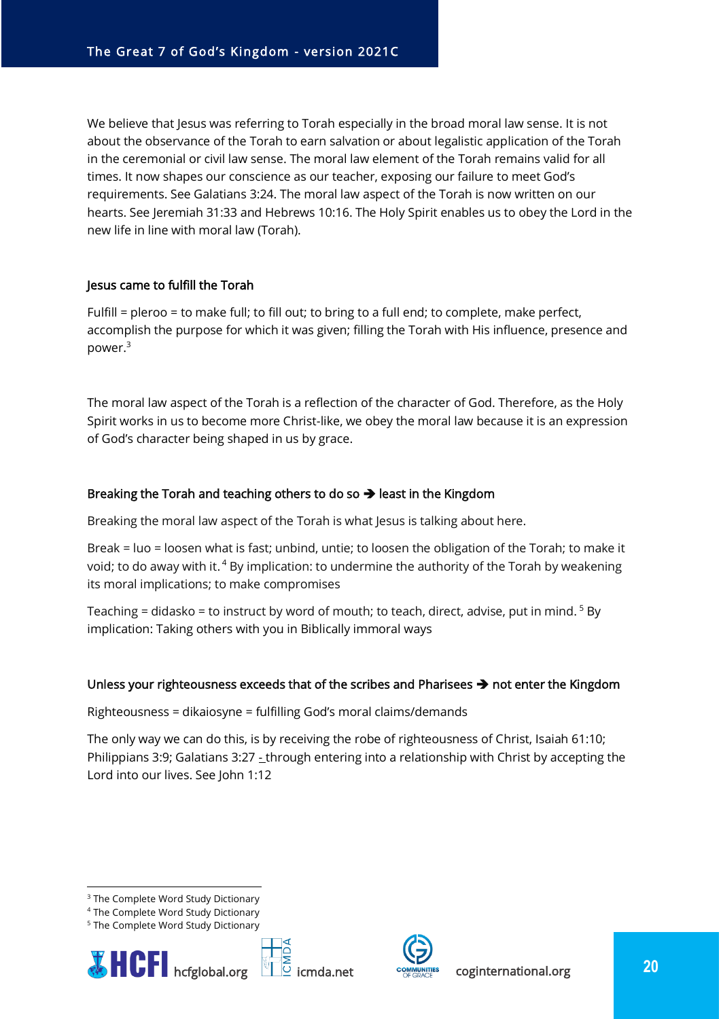We believe that Jesus was referring to Torah especially in the broad moral law sense. It is not about the observance of the Torah to earn salvation or about legalistic application of the Torah in the ceremonial or civil law sense. The moral law element of the Torah remains valid for all times. It now shapes our conscience as our teacher, exposing our failure to meet God's requirements. See Galatians 3:24. The moral law aspect of the Torah is now written on our hearts. See Jeremiah 31:33 and Hebrews 10:16. The Holy Spirit enables us to obey the Lord in the new life in line with moral law (Torah).

#### Jesus came to fulfill the Torah

Fulfill = pleroo = to make full; to fill out; to bring to a full end; to complete, make perfect, accomplish the purpose for which it was given; filling the Torah with His influence, presence and power.<sup>3</sup>

The moral law aspect of the Torah is a reflection of the character of God. Therefore, as the Holy Spirit works in us to become more Christ-like, we obey the moral law because it is an expression of God's character being shaped in us by grace.

#### Breaking the Torah and teaching others to do so  $\rightarrow$  least in the Kingdom

Breaking the moral law aspect of the Torah is what Jesus is talking about here.

Break = luo = loosen what is fast; unbind, untie; to loosen the obligation of the Torah; to make it void; to do away with it.<sup>4</sup> By implication: to undermine the authority of the Torah by weakening its moral implications; to make compromises

Teaching = didasko = to instruct by word of mouth; to teach, direct, advise, put in mind.  $5$  By implication: Taking others with you in Biblically immoral ways

#### Unless your righteousness exceeds that of the scribes and Pharisees ➔ not enter the Kingdom

Righteousness = dikaiosyne = fulfilling God's moral claims/demands

The only way we can do this, is by receiving the robe of righteousness of Christ, Isaiah 61:10; Philippians 3:9; Galatians 3:27 - through entering into a relationship with Christ by accepting the Lord into our lives. See John 1:12

<sup>&</sup>lt;sup>5</sup> The Complete Word Study Dictionary







<sup>&</sup>lt;sup>3</sup> The Complete Word Study Dictionary

<sup>4</sup> The Complete Word Study Dictionary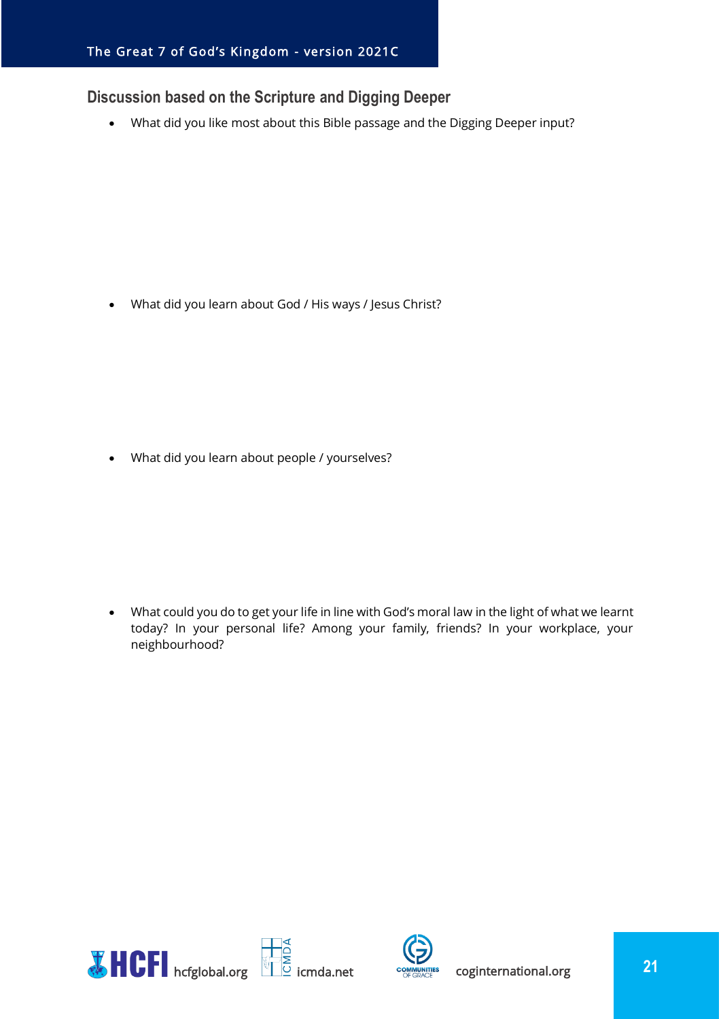## <span id="page-20-0"></span>**Discussion based on the Scripture and Digging Deeper**

• What did you like most about this Bible passage and the Digging Deeper input?

• What did you learn about God / His ways / Jesus Christ?

• What did you learn about people / yourselves?

• What could you do to get your life in line with God's moral law in the light of what we learnt today? In your personal life? Among your family, friends? In your workplace, your neighbourhood?



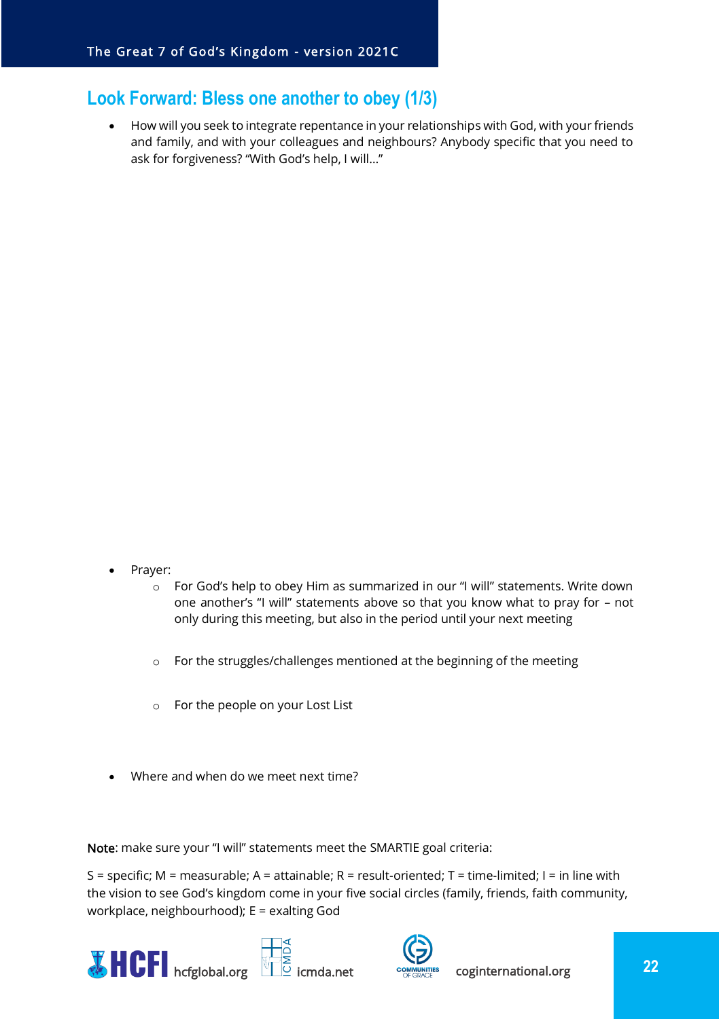## <span id="page-21-0"></span>**Look Forward: Bless one another to obey (1/3)**

• How will you seek to integrate repentance in your relationships with God, with your friends and family, and with your colleagues and neighbours? Anybody specific that you need to ask for forgiveness? "With God's help, I will…"

- Prayer:
	- o For God's help to obey Him as summarized in our "I will" statements. Write down one another's "I will" statements above so that you know what to pray for – not only during this meeting, but also in the period until your next meeting
	- o For the struggles/challenges mentioned at the beginning of the meeting
	- o For the people on your Lost List
- Where and when do we meet next time?

Note: make sure your "I will" statements meet the SMARTIE goal criteria:

S = specific; M = measurable; A = attainable; R = result-oriented; T = time-limited; I = in line with the vision to see God's kingdom come in your five social circles (family, friends, faith community, workplace, neighbourhood); E = exalting God





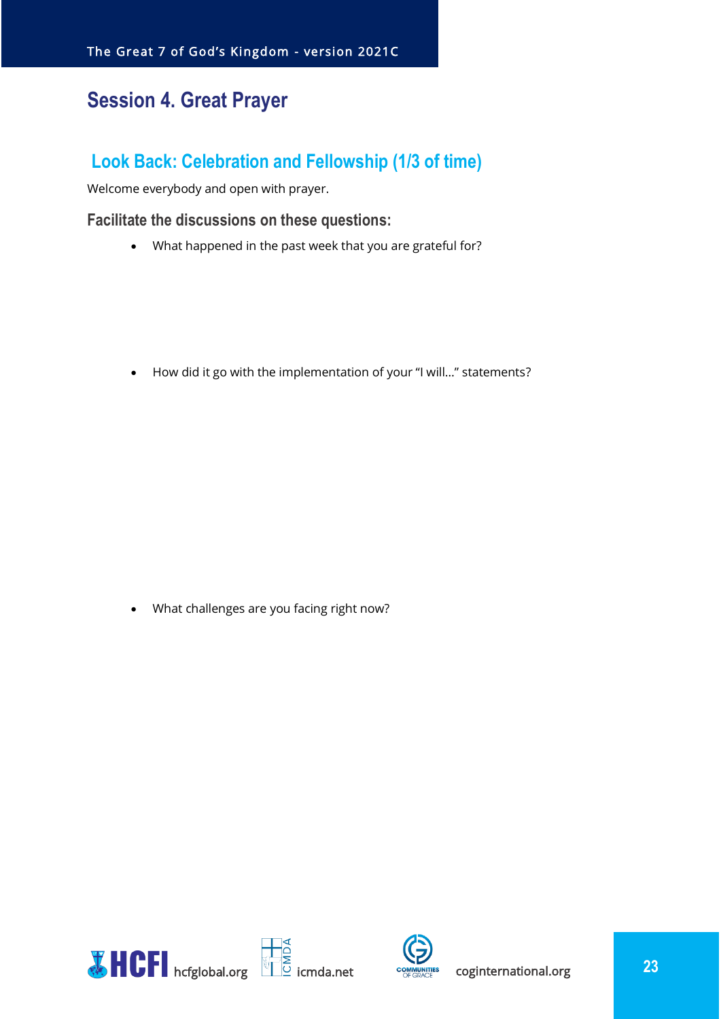## <span id="page-22-0"></span>**Session 4. Great Prayer**

## <span id="page-22-1"></span>**Look Back: Celebration and Fellowship (1/3 of time)**

Welcome everybody and open with prayer.

#### <span id="page-22-2"></span>**Facilitate the discussions on these questions:**

• What happened in the past week that you are grateful for?

• How did it go with the implementation of your "I will…" statements?

• What challenges are you facing right now?



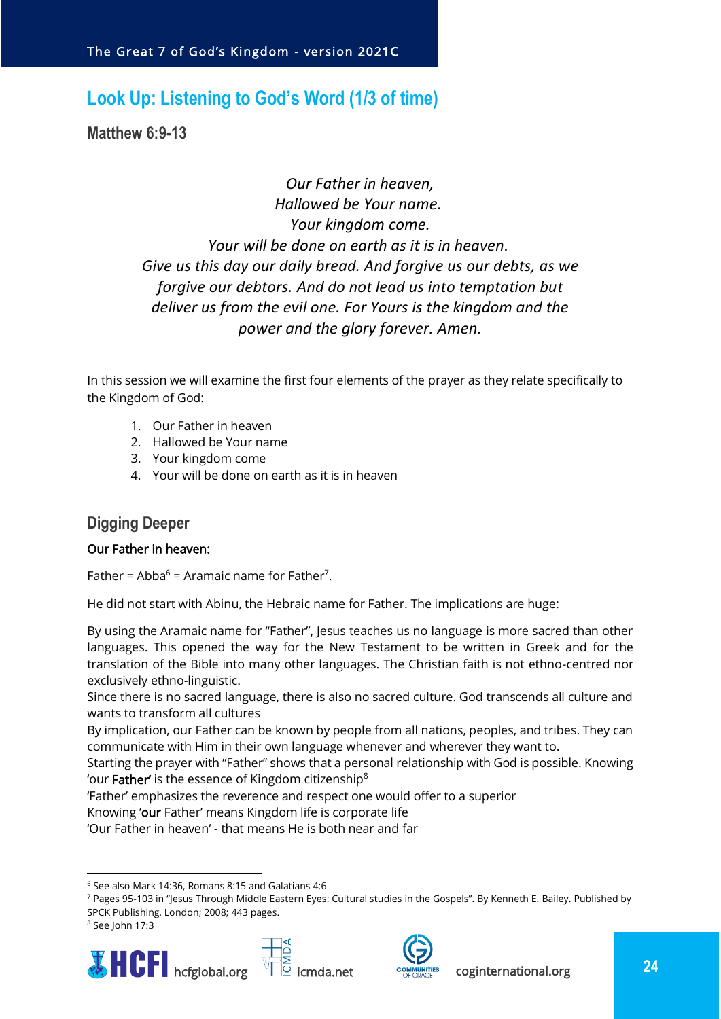## <span id="page-23-0"></span>**Look Up: Listening to God's Word (1/3 of time)**

<span id="page-23-1"></span>**Matthew 6:9-13**

*Our Father in heaven, Hallowed be Your name. Your kingdom come. Your will be done on earth as it is in heaven. Give us this day our daily bread. And forgive us our debts, as we forgive our debtors. And do not lead us into temptation but deliver us from the evil one. For Yours is the kingdom and the power and the glory forever. Amen.*

In this session we will examine the first four elements of the prayer as they relate specifically to the Kingdom of God:

- 1. Our Father in heaven
- 2. Hallowed be Your name
- 3. Your kingdom come
- 4. Your will be done on earth as it is in heaven

## <span id="page-23-2"></span>**Digging Deeper**

#### Our Father in heaven:

Father =  $Abba<sup>6</sup>$  = Aramaic name for Father<sup>7</sup>.

He did not start with Abinu, the Hebraic name for Father. The implications are huge:

By using the Aramaic name for "Father", Jesus teaches us no language is more sacred than other languages. This opened the way for the New Testament to be written in Greek and for the translation of the Bible into many other languages. The Christian faith is not ethno-centred nor exclusively ethno-linguistic.

Since there is no sacred language, there is also no sacred culture. God transcends all culture and wants to transform all cultures

By implication, our Father can be known by people from all nations, peoples, and tribes. They can communicate with Him in their own language whenever and wherever they want to.

Starting the prayer with "Father" shows that a personal relationship with God is possible. Knowing 'our Father' is the essence of Kingdom citizenship<sup>8</sup>

'Father' emphasizes the reverence and respect one would offer to a superior

Knowing 'our Father' means Kingdom life is corporate life

'Our Father in heaven' - that means He is both near and far

<sup>8</sup> See John 17:3







 $6$  See also Mark 14:36, Romans 8:15 and Galatians 4:6

<sup>7</sup> Pages 95-103 in "Jesus Through Middle Eastern Eyes: Cultural studies in the Gospels". By Kenneth E. Bailey. Published by SPCK Publishing, London; 2008; 443 pages.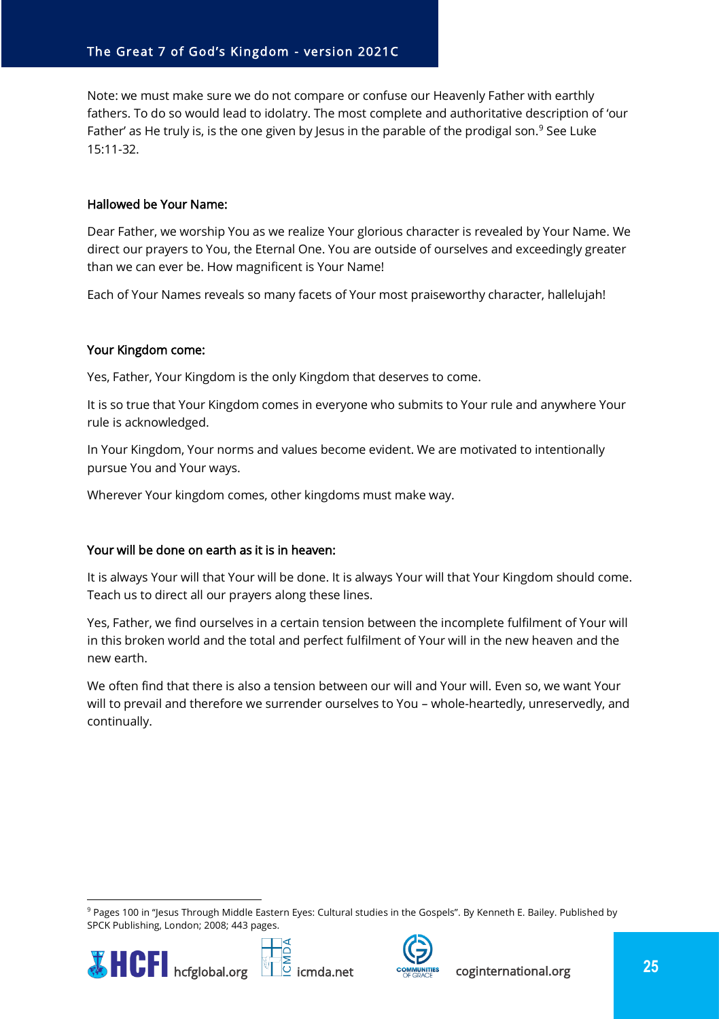Note: we must make sure we do not compare or confuse our Heavenly Father with earthly fathers. To do so would lead to idolatry. The most complete and authoritative description of 'our Father' as He truly is, is the one given by Jesus in the parable of the prodigal son.<sup>9</sup> See Luke 15:11-32.

#### Hallowed be Your Name:

Dear Father, we worship You as we realize Your glorious character is revealed by Your Name. We direct our prayers to You, the Eternal One. You are outside of ourselves and exceedingly greater than we can ever be. How magnificent is Your Name!

Each of Your Names reveals so many facets of Your most praiseworthy character, hallelujah!

#### Your Kingdom come:

Yes, Father, Your Kingdom is the only Kingdom that deserves to come.

It is so true that Your Kingdom comes in everyone who submits to Your rule and anywhere Your rule is acknowledged.

In Your Kingdom, Your norms and values become evident. We are motivated to intentionally pursue You and Your ways.

Wherever Your kingdom comes, other kingdoms must make way.

#### Your will be done on earth as it is in heaven:

It is always Your will that Your will be done. It is always Your will that Your Kingdom should come. Teach us to direct all our prayers along these lines.

Yes, Father, we find ourselves in a certain tension between the incomplete fulfilment of Your will in this broken world and the total and perfect fulfilment of Your will in the new heaven and the new earth.

We often find that there is also a tension between our will and Your will. Even so, we want Your will to prevail and therefore we surrender ourselves to You – whole-heartedly, unreservedly, and continually.

<sup>&</sup>lt;sup>9</sup> Pages 100 in "Jesus Through Middle Eastern Eyes: Cultural studies in the Gospels". By Kenneth E. Bailey. Published by SPCK Publishing, London; 2008; 443 pages.





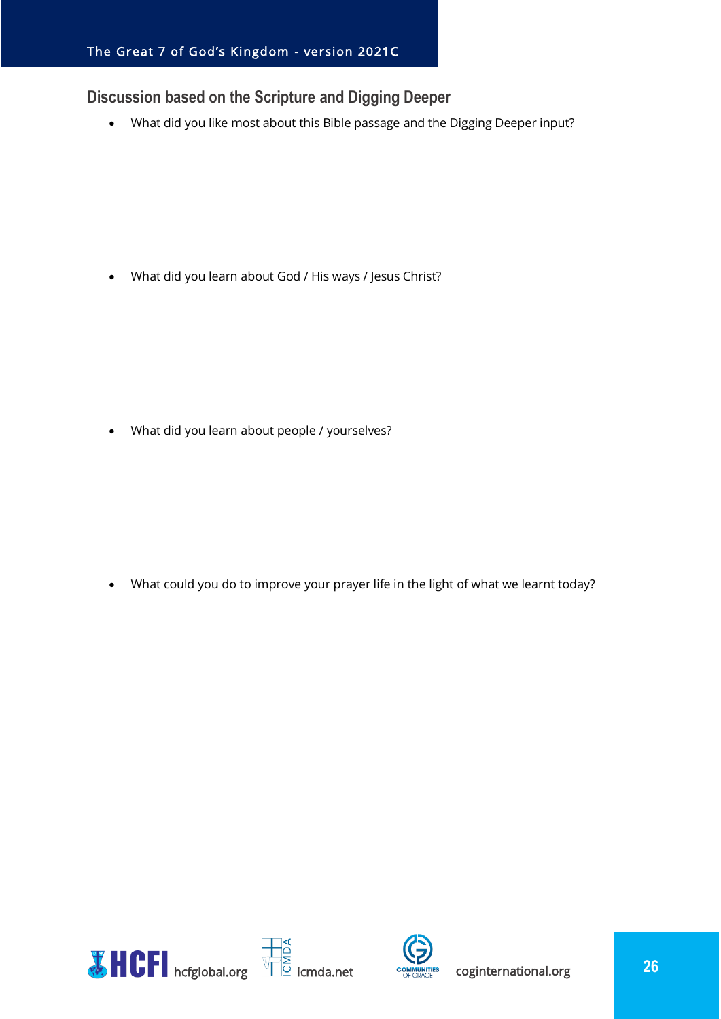## <span id="page-25-0"></span>**Discussion based on the Scripture and Digging Deeper**

• What did you like most about this Bible passage and the Digging Deeper input?

• What did you learn about God / His ways / Jesus Christ?

• What did you learn about people / yourselves?

• What could you do to improve your prayer life in the light of what we learnt today?



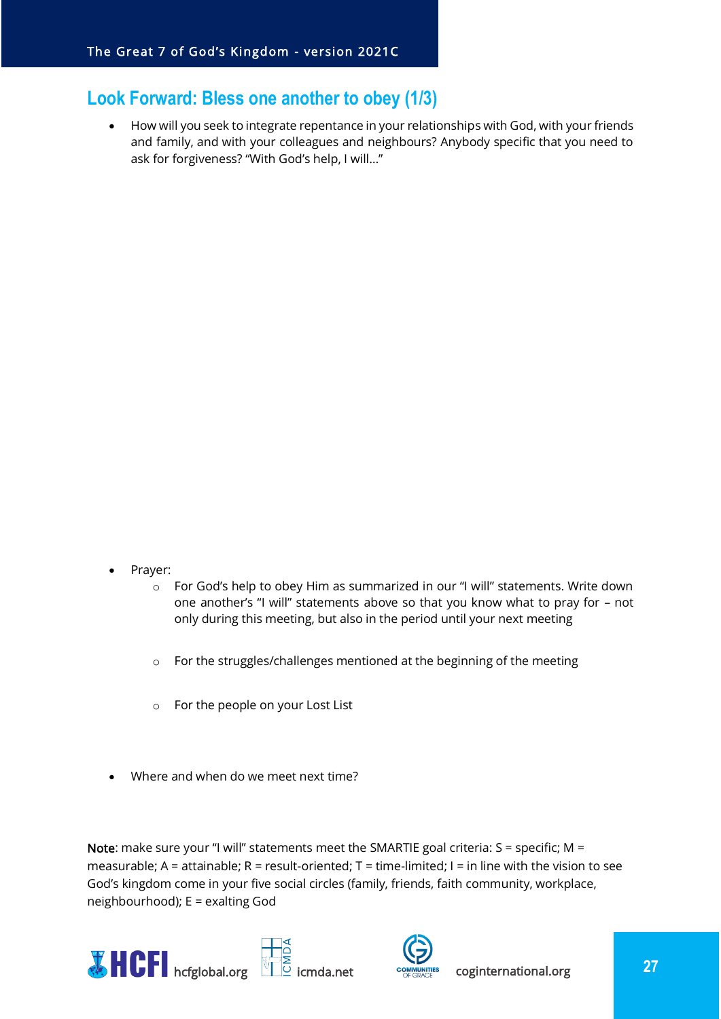## <span id="page-26-0"></span>**Look Forward: Bless one another to obey (1/3)**

• How will you seek to integrate repentance in your relationships with God, with your friends and family, and with your colleagues and neighbours? Anybody specific that you need to ask for forgiveness? "With God's help, I will…"

- Prayer:
	- o For God's help to obey Him as summarized in our "I will" statements. Write down one another's "I will" statements above so that you know what to pray for – not only during this meeting, but also in the period until your next meeting
	- o For the struggles/challenges mentioned at the beginning of the meeting
	- o For the people on your Lost List
- Where and when do we meet next time?

Note: make sure your "I will" statements meet the SMARTIE goal criteria:  $S =$  specific; M = measurable; A = attainable; R = result-oriented; T = time-limited; I = in line with the vision to see God's kingdom come in your five social circles (family, friends, faith community, workplace, neighbourhood); E = exalting God





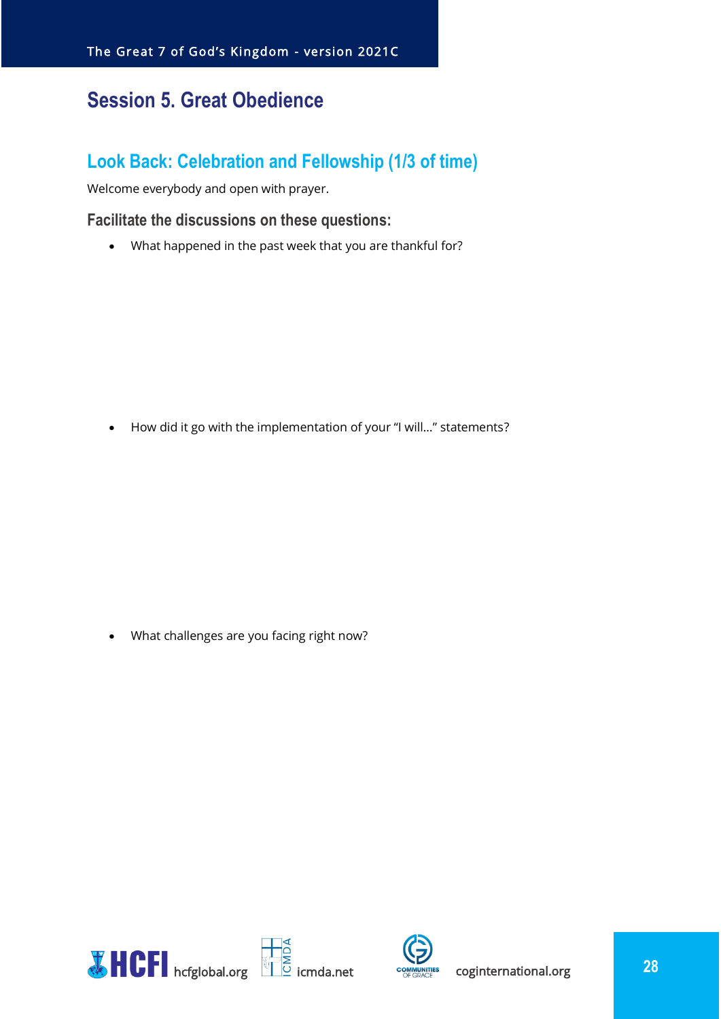## <span id="page-27-0"></span>**Session 5. Great Obedience**

## <span id="page-27-1"></span>**Look Back: Celebration and Fellowship (1/3 of time)**

Welcome everybody and open with prayer.

#### <span id="page-27-2"></span>**Facilitate the discussions on these questions:**

• What happened in the past week that you are thankful for?

• How did it go with the implementation of your "I will…" statements?

• What challenges are you facing right now?



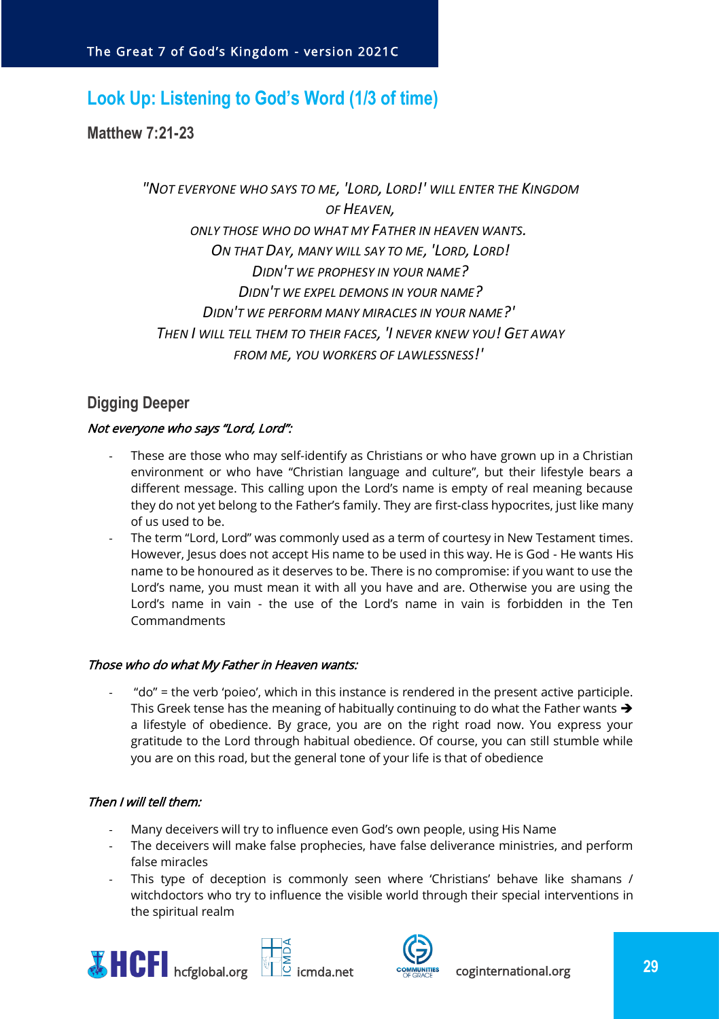## <span id="page-28-0"></span>**Look Up: Listening to God's Word (1/3 of time)**

<span id="page-28-1"></span>**Matthew 7:21-23**

*"NOT EVERYONE WHO SAYS TO ME, 'LORD, LORD!' WILL ENTER THE KINGDOM OF HEAVEN, ONLY THOSE WHO DO WHAT MY FATHER IN HEAVEN WANTS. ON THAT DAY, MANY WILL SAY TO ME, 'LORD, LORD! DIDN'T WE PROPHESY IN YOUR NAME? DIDN'T WE EXPEL DEMONS IN YOUR NAME? DIDN'T WE PERFORM MANY MIRACLES IN YOUR NAME?' THEN I WILL TELL THEM TO THEIR FACES, 'I NEVER KNEW YOU! GET AWAY FROM ME, YOU WORKERS OF LAWLESSNESS!'*

## <span id="page-28-2"></span>**Digging Deeper**

#### Not everyone who says "Lord, Lord":

- These are those who may self-identify as Christians or who have grown up in a Christian environment or who have "Christian language and culture", but their lifestyle bears a different message. This calling upon the Lord's name is empty of real meaning because they do not yet belong to the Father's family. They are first-class hypocrites, just like many of us used to be.
- The term "Lord, Lord" was commonly used as a term of courtesy in New Testament times. However, Jesus does not accept His name to be used in this way. He is God - He wants His name to be honoured as it deserves to be. There is no compromise: if you want to use the Lord's name, you must mean it with all you have and are. Otherwise you are using the Lord's name in vain - the use of the Lord's name in vain is forbidden in the Ten Commandments

#### Those who do what My Father in Heaven wants:

- "do" = the verb 'poieo', which in this instance is rendered in the present active participle. This Greek tense has the meaning of habitually continuing to do what the Father wants  $\rightarrow$ a lifestyle of obedience. By grace, you are on the right road now. You express your gratitude to the Lord through habitual obedience. Of course, you can still stumble while you are on this road, but the general tone of your life is that of obedience

#### Then I will tell them:

- Many deceivers will try to influence even God's own people, using His Name
- The deceivers will make false prophecies, have false deliverance ministries, and perform false miracles
- This type of deception is commonly seen where 'Christians' behave like shamans / witchdoctors who try to influence the visible world through their special interventions in the spiritual realm



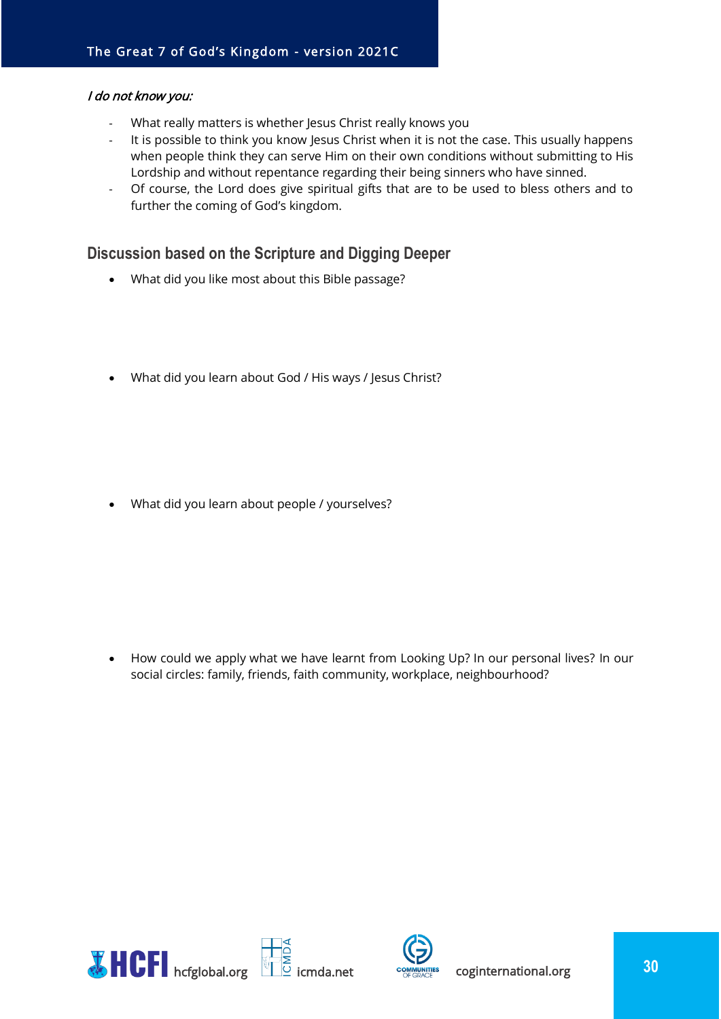#### I do not know you:

- What really matters is whether Jesus Christ really knows you
- It is possible to think you know Jesus Christ when it is not the case. This usually happens when people think they can serve Him on their own conditions without submitting to His Lordship and without repentance regarding their being sinners who have sinned.
- Of course, the Lord does give spiritual gifts that are to be used to bless others and to further the coming of God's kingdom.

#### <span id="page-29-0"></span>**Discussion based on the Scripture and Digging Deeper**

- What did you like most about this Bible passage?
- What did you learn about God / His ways / Jesus Christ?

• What did you learn about people / yourselves?

• How could we apply what we have learnt from Looking Up? In our personal lives? In our social circles: family, friends, faith community, workplace, neighbourhood?



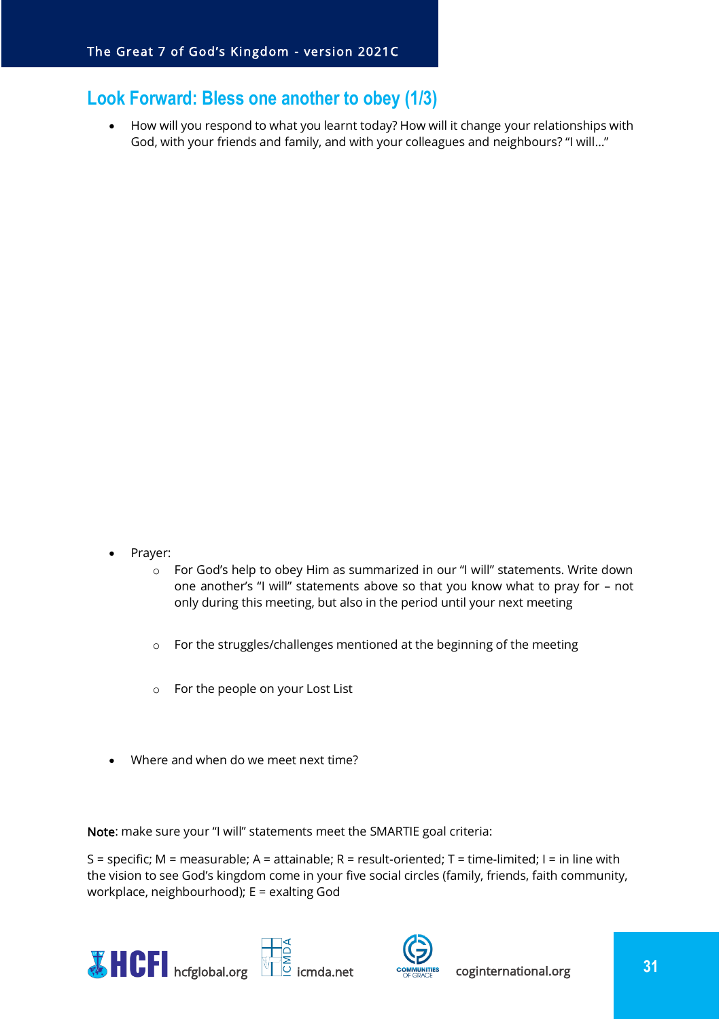## <span id="page-30-0"></span>**Look Forward: Bless one another to obey (1/3)**

• How will you respond to what you learnt today? How will it change your relationships with God, with your friends and family, and with your colleagues and neighbours? "I will…"

- Prayer:
	- o For God's help to obey Him as summarized in our "I will" statements. Write down one another's "I will" statements above so that you know what to pray for – not only during this meeting, but also in the period until your next meeting
	- o For the struggles/challenges mentioned at the beginning of the meeting
	- o For the people on your Lost List
- Where and when do we meet next time?

Note: make sure your "I will" statements meet the SMARTIE goal criteria:

S = specific; M = measurable; A = attainable; R = result-oriented; T = time-limited; I = in line with the vision to see God's kingdom come in your five social circles (family, friends, faith community, workplace, neighbourhood); E = exalting God





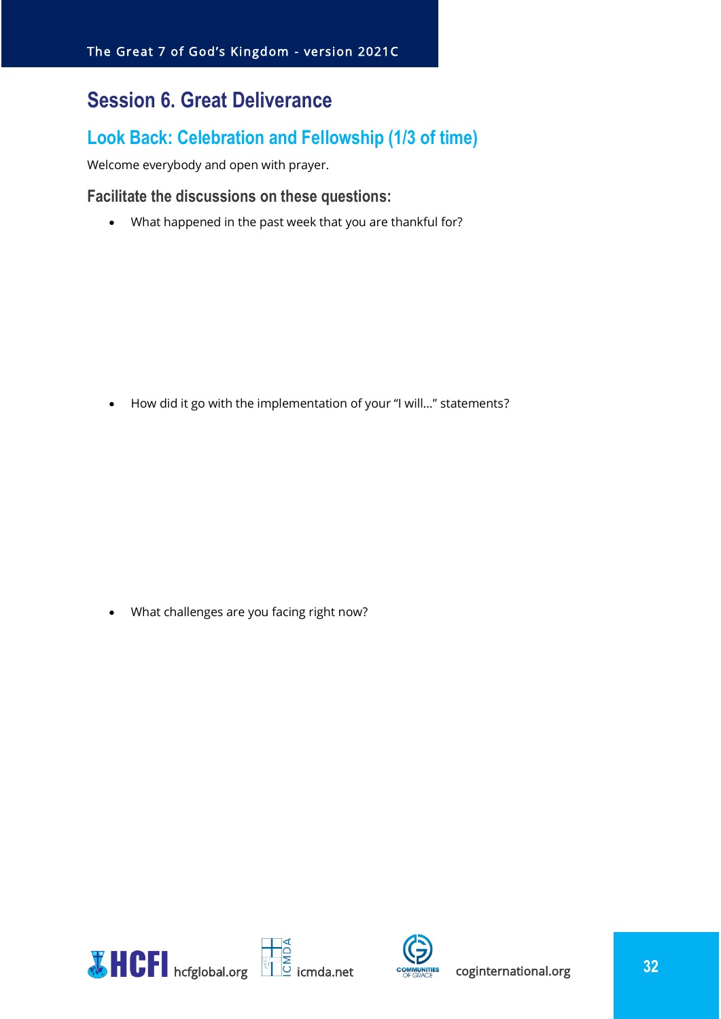## <span id="page-31-0"></span>**Session 6. Great Deliverance**

## <span id="page-31-1"></span>**Look Back: Celebration and Fellowship (1/3 of time)**

Welcome everybody and open with prayer.

#### <span id="page-31-2"></span>**Facilitate the discussions on these questions:**

• What happened in the past week that you are thankful for?

• How did it go with the implementation of your "I will…" statements?

• What challenges are you facing right now?



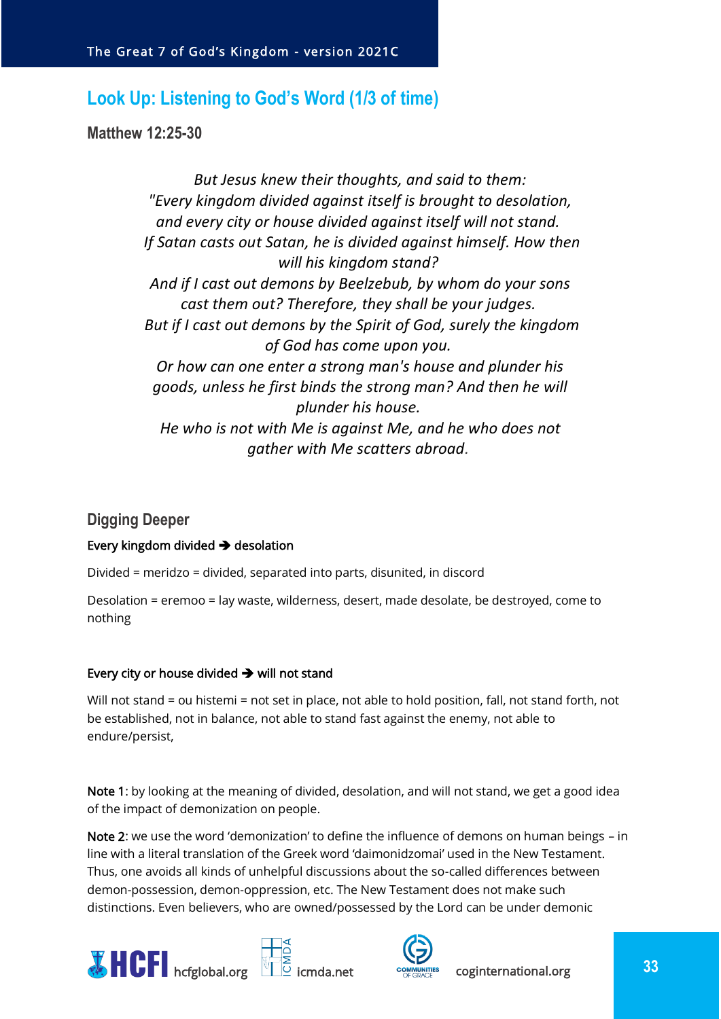## <span id="page-32-0"></span>**Look Up: Listening to God's Word (1/3 of time)**

<span id="page-32-1"></span>**Matthew 12:25-30**

*But Jesus knew their thoughts, and said to them: "Every kingdom divided against itself is brought to desolation, and every city or house divided against itself will not stand. If Satan casts out Satan, he is divided against himself. How then will his kingdom stand? And if I cast out demons by Beelzebub, by whom do your sons cast them out? Therefore, they shall be your judges. But if I cast out demons by the Spirit of God, surely the kingdom of God has come upon you. Or how can one enter a strong man's house and plunder his goods, unless he first binds the strong man? And then he will plunder his house. He who is not with Me is against Me, and he who does not gather with Me scatters abroad.*

## <span id="page-32-2"></span>**Digging Deeper**

#### Every kingdom divided ➔ desolation

Divided = meridzo = divided, separated into parts, disunited, in discord

Desolation = eremoo = lay waste, wilderness, desert, made desolate, be destroyed, come to nothing

#### Every city or house divided ➔ will not stand

Will not stand = ou histemi = not set in place, not able to hold position, fall, not stand forth, not be established, not in balance, not able to stand fast against the enemy, not able to endure/persist,

Note 1: by looking at the meaning of divided, desolation, and will not stand, we get a good idea of the impact of demonization on people.

Note 2: we use the word 'demonization' to define the influence of demons on human beings - in line with a literal translation of the Greek word 'daimonidzomai' used in the New Testament. Thus, one avoids all kinds of unhelpful discussions about the so-called differences between demon-possession, demon-oppression, etc. The New Testament does not make such distinctions. Even believers, who are owned/possessed by the Lord can be under demonic





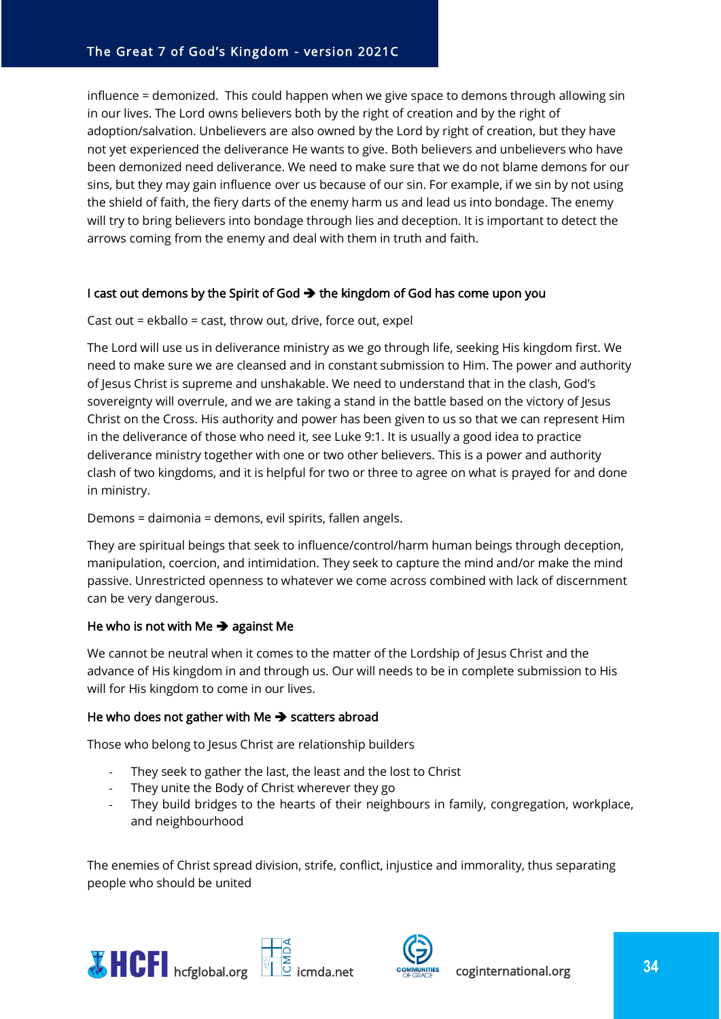influence = demonized. This could happen when we give space to demons through allowing sin in our lives. The Lord owns believers both by the right of creation and by the right of adoption/salvation. Unbelievers are also owned by the Lord by right of creation, but they have not yet experienced the deliverance He wants to give. Both believers and unbelievers who have been demonized need deliverance. We need to make sure that we do not blame demons for our sins, but they may gain influence over us because of our sin. For example, if we sin by not using the shield of faith, the fiery darts of the enemy harm us and lead us into bondage. The enemy will try to bring believers into bondage through lies and deception. It is important to detect the arrows coming from the enemy and deal with them in truth and faith.

#### I cast out demons by the Spirit of God  $\rightarrow$  the kingdom of God has come upon you

#### Cast out = ekballo = cast, throw out, drive, force out, expel

The Lord will use us in deliverance ministry as we go through life, seeking His kingdom first. We need to make sure we are cleansed and in constant submission to Him. The power and authority of Jesus Christ is supreme and unshakable. We need to understand that in the clash, God's sovereignty will overrule, and we are taking a stand in the battle based on the victory of Jesus Christ on the Cross. His authority and power has been given to us so that we can represent Him in the deliverance of those who need it, see Luke 9:1. It is usually a good idea to practice deliverance ministry together with one or two other believers. This is a power and authority clash of two kingdoms, and it is helpful for two or three to agree on what is prayed for and done in ministry.

#### Demons = daimonia = demons, evil spirits, fallen angels.

They are spiritual beings that seek to influence/control/harm human beings through deception, manipulation, coercion, and intimidation. They seek to capture the mind and/or make the mind passive. Unrestricted openness to whatever we come across combined with lack of discernment can be very dangerous.

#### He who is not with Me  $\rightarrow$  against Me

We cannot be neutral when it comes to the matter of the Lordship of Jesus Christ and the advance of His kingdom in and through us. Our will needs to be in complete submission to His will for His kingdom to come in our lives.

#### He who does not gather with Me → scatters abroad

Those who belong to Jesus Christ are relationship builders

- They seek to gather the last, the least and the lost to Christ
- They unite the Body of Christ wherever they go
- They build bridges to the hearts of their neighbours in family, congregation, workplace, and neighbourhood

The enemies of Christ spread division, strife, conflict, injustice and immorality, thus separating people who should be united





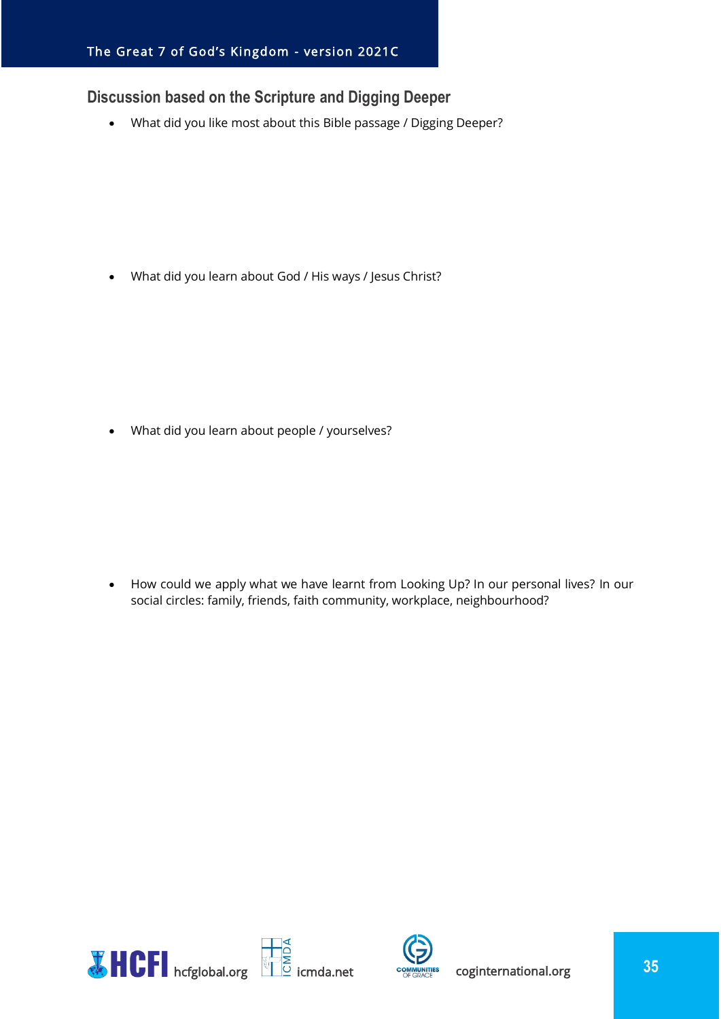## <span id="page-34-0"></span>**Discussion based on the Scripture and Digging Deeper**

• What did you like most about this Bible passage / Digging Deeper?

• What did you learn about God / His ways / Jesus Christ?

• What did you learn about people / yourselves?

• How could we apply what we have learnt from Looking Up? In our personal lives? In our social circles: family, friends, faith community, workplace, neighbourhood?



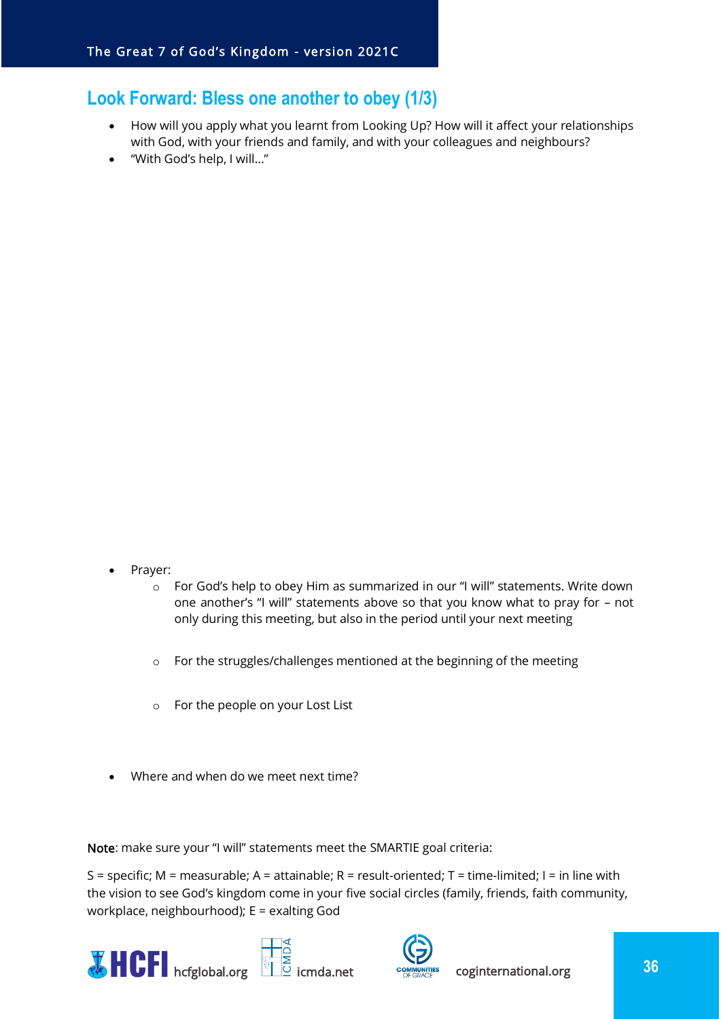## <span id="page-35-0"></span>**Look Forward: Bless one another to obey (1/3)**

- How will you apply what you learnt from Looking Up? How will it affect your relationships with God, with your friends and family, and with your colleagues and neighbours?
- "With God's help, I will…"

- Prayer:
	- o For God's help to obey Him as summarized in our "I will" statements. Write down one another's "I will" statements above so that you know what to pray for – not only during this meeting, but also in the period until your next meeting
	- o For the struggles/challenges mentioned at the beginning of the meeting
	- o For the people on your Lost List
- Where and when do we meet next time?

Note: make sure your "I will" statements meet the SMARTIE goal criteria:

S = specific; M = measurable; A = attainable; R = result-oriented; T = time-limited; I = in line with the vision to see God's kingdom come in your five social circles (family, friends, faith community, workplace, neighbourhood); E = exalting God





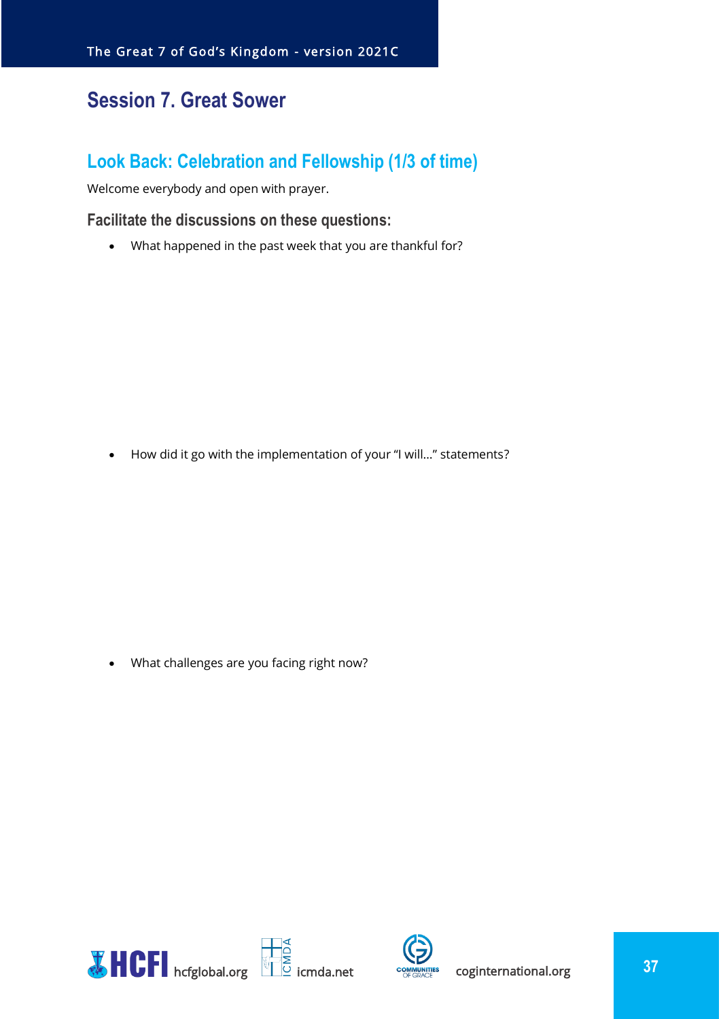## <span id="page-36-0"></span>**Session 7. Great Sower**

## <span id="page-36-1"></span>**Look Back: Celebration and Fellowship (1/3 of time)**

Welcome everybody and open with prayer.

#### <span id="page-36-2"></span>**Facilitate the discussions on these questions:**

• What happened in the past week that you are thankful for?

• How did it go with the implementation of your "I will…" statements?

• What challenges are you facing right now?



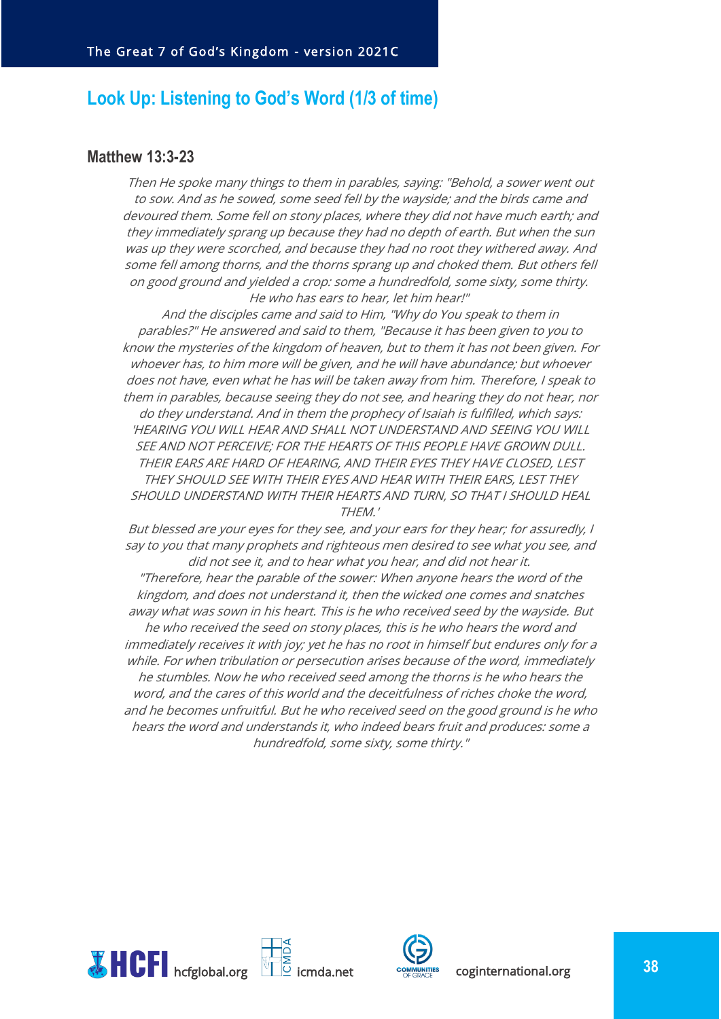## <span id="page-37-0"></span>**Look Up: Listening to God's Word (1/3 of time)**

#### <span id="page-37-1"></span>**Matthew 13:3-23**

Then He spoke many things to them in parables, saying: "Behold, a sower went out to sow. And as he sowed, some seed fell by the wayside; and the birds came and devoured them. Some fell on stony places, where they did not have much earth; and they immediately sprang up because they had no depth of earth. But when the sun was up they were scorched, and because they had no root they withered away. And some fell among thorns, and the thorns sprang up and choked them. But others fell on good ground and yielded a crop: some a hundredfold, some sixty, some thirty. He who has ears to hear, let him hear!"

And the disciples came and said to Him, "Why do You speak to them in parables?" He answered and said to them, "Because it has been given to you to know the mysteries of the kingdom of heaven, but to them it has not been given. For whoever has, to him more will be given, and he will have abundance; but whoever does not have, even what he has will be taken away from him. Therefore, I speak to them in parables, because seeing they do not see, and hearing they do not hear, nor do they understand. And in them the prophecy of Isaiah is fulfilled, which says: 'HEARING YOU WILL HEAR AND SHALL NOT UNDERSTAND AND SEEING YOU WILL SEE AND NOT PERCEIVE; FOR THE HEARTS OF THIS PEOPLE HAVE GROWN DULL. THEIR EARS ARE HARD OF HEARING, AND THEIR EYES THEY HAVE CLOSED, LEST THEY SHOULD SEE WITH THEIR EYES AND HEAR WITH THEIR EARS, LEST THEY SHOULD UNDERSTAND WITH THEIR HEARTS AND TURN, SO THAT I SHOULD HEAL THEM.'

But blessed are your eyes for they see, and your ears for they hear; for assuredly, I say to you that many prophets and righteous men desired to see what you see, and did not see it, and to hear what you hear, and did not hear it.

"Therefore, hear the parable of the sower: When anyone hears the word of the kingdom, and does not understand it, then the wicked one comes and snatches away what was sown in his heart. This is he who received seed by the wayside. But he who received the seed on stony places, this is he who hears the word and immediately receives it with joy; yet he has no root in himself but endures only for a while. For when tribulation or persecution arises because of the word, immediately he stumbles. Now he who received seed among the thorns is he who hears the word, and the cares of this world and the deceitfulness of riches choke the word, and he becomes unfruitful. But he who received seed on the good ground is he who hears the word and understands it, who indeed bears fruit and produces: some a hundredfold, some sixty, some thirty."



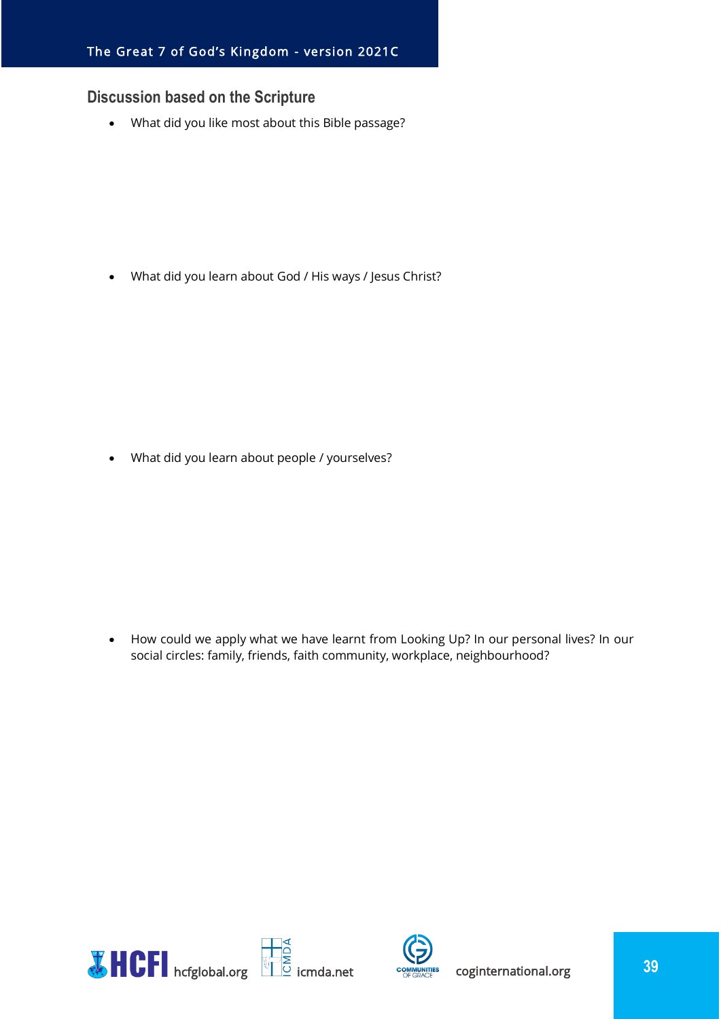#### <span id="page-38-0"></span>**Discussion based on the Scripture**

• What did you like most about this Bible passage?

• What did you learn about God / His ways / Jesus Christ?

• What did you learn about people / yourselves?

• How could we apply what we have learnt from Looking Up? In our personal lives? In our social circles: family, friends, faith community, workplace, neighbourhood?



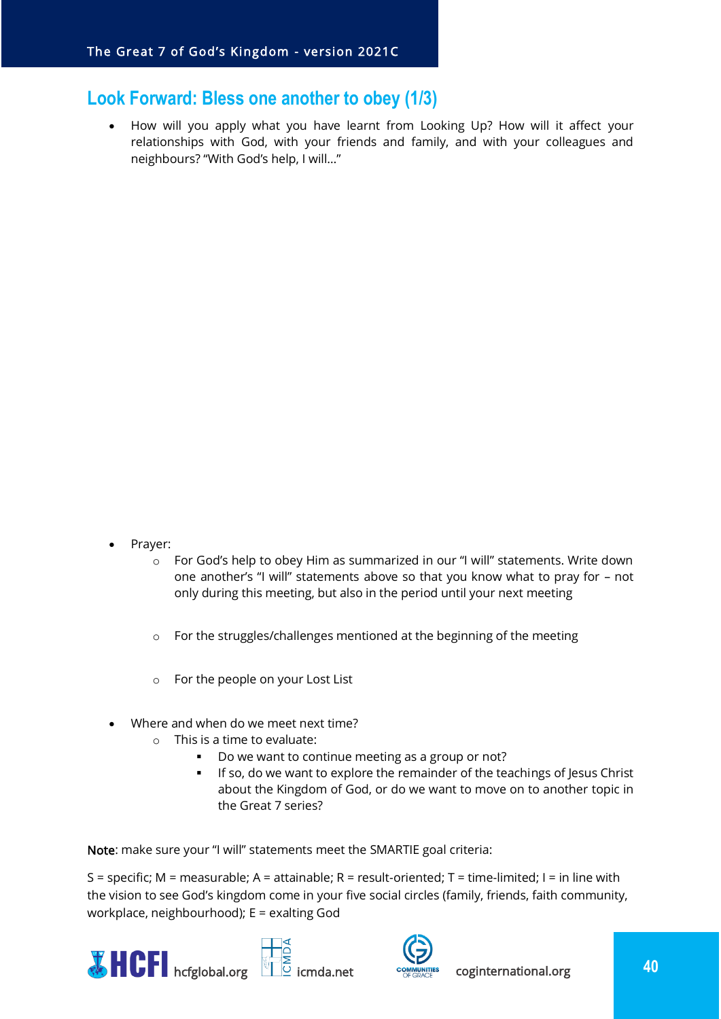## <span id="page-39-0"></span>**Look Forward: Bless one another to obey (1/3)**

• How will you apply what you have learnt from Looking Up? How will it affect your relationships with God, with your friends and family, and with your colleagues and neighbours? "With God's help, I will…"

- Prayer:
	- o For God's help to obey Him as summarized in our "I will" statements. Write down one another's "I will" statements above so that you know what to pray for – not only during this meeting, but also in the period until your next meeting
	- o For the struggles/challenges mentioned at the beginning of the meeting
	- o For the people on your Lost List
- Where and when do we meet next time?
	- o This is a time to evaluate:
		- Do we want to continue meeting as a group or not?
		- **.** If so, do we want to explore the remainder of the teachings of Jesus Christ about the Kingdom of God, or do we want to move on to another topic in the Great 7 series?

Note: make sure your "I will" statements meet the SMARTIE goal criteria:

S = specific; M = measurable; A = attainable; R = result-oriented; T = time-limited; I = in line with the vision to see God's kingdom come in your five social circles (family, friends, faith community, workplace, neighbourhood); E = exalting God





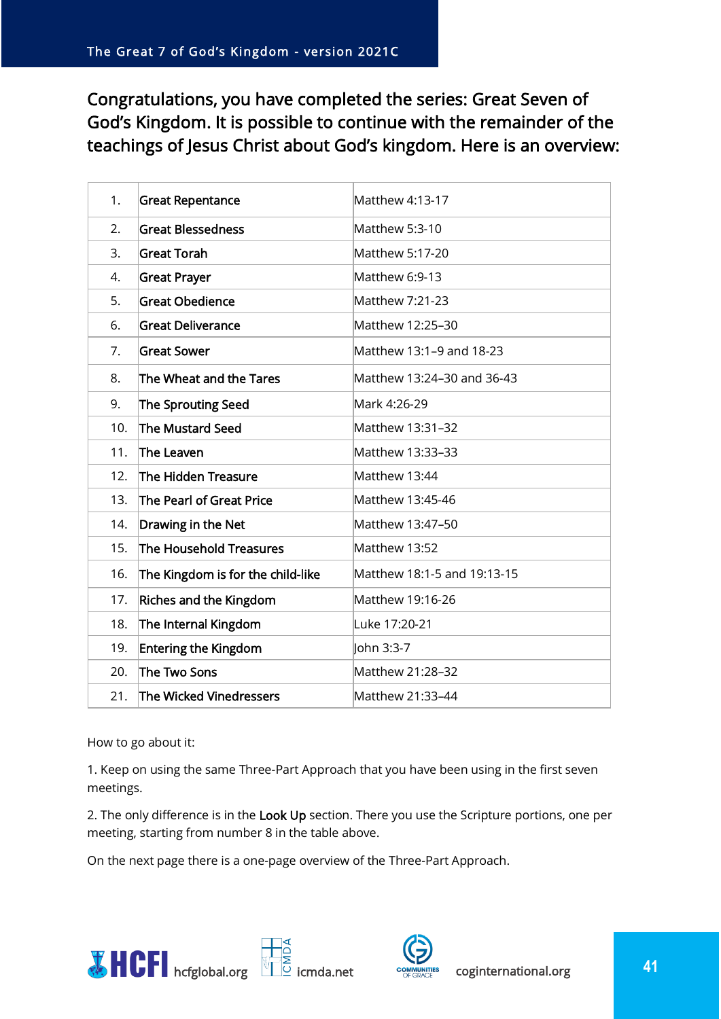Congratulations, you have completed the series: Great Seven of God's Kingdom. It is possible to continue with the remainder of the teachings of Jesus Christ about God's kingdom. Here is an overview:

| 1.  | <b>Great Repentance</b>           | Matthew 4:13-17             |
|-----|-----------------------------------|-----------------------------|
| 2.  | <b>Great Blessedness</b>          | Matthew 5:3-10              |
| 3.  | <b>Great Torah</b>                | Matthew 5:17-20             |
| 4.  | <b>Great Prayer</b>               | Matthew 6:9-13              |
| 5.  | <b>Great Obedience</b>            | Matthew 7:21-23             |
| 6.  | <b>Great Deliverance</b>          | Matthew 12:25-30            |
| 7.  | <b>Great Sower</b>                | Matthew 13:1-9 and 18-23    |
| 8.  | The Wheat and the Tares           | Matthew 13:24-30 and 36-43  |
| 9.  | <b>The Sprouting Seed</b>         | Mark 4:26-29                |
| 10. | The Mustard Seed                  | Matthew 13:31-32            |
| 11. | The Leaven                        | Matthew 13:33-33            |
| 12. | The Hidden Treasure               | Matthew 13:44               |
| 13. | The Pearl of Great Price          | Matthew 13:45-46            |
| 14. | Drawing in the Net                | Matthew 13:47-50            |
| 15. | The Household Treasures           | Matthew 13:52               |
| 16. | The Kingdom is for the child-like | Matthew 18:1-5 and 19:13-15 |
| 17. | <b>Riches and the Kingdom</b>     | Matthew 19:16-26            |
| 18. | The Internal Kingdom              | Luke 17:20-21               |
| 19. | <b>Entering the Kingdom</b>       | John 3:3-7                  |
| 20. | The Two Sons                      | Matthew 21:28-32            |
| 21. | The Wicked Vinedressers           | Matthew 21:33-44            |

How to go about it:

1. Keep on using the same Three-Part Approach that you have been using in the first seven meetings.

2. The only difference is in the Look Up section. There you use the Scripture portions, one per meeting, starting from number 8 in the table above.

On the next page there is a one-page overview of the Three-Part Approach.





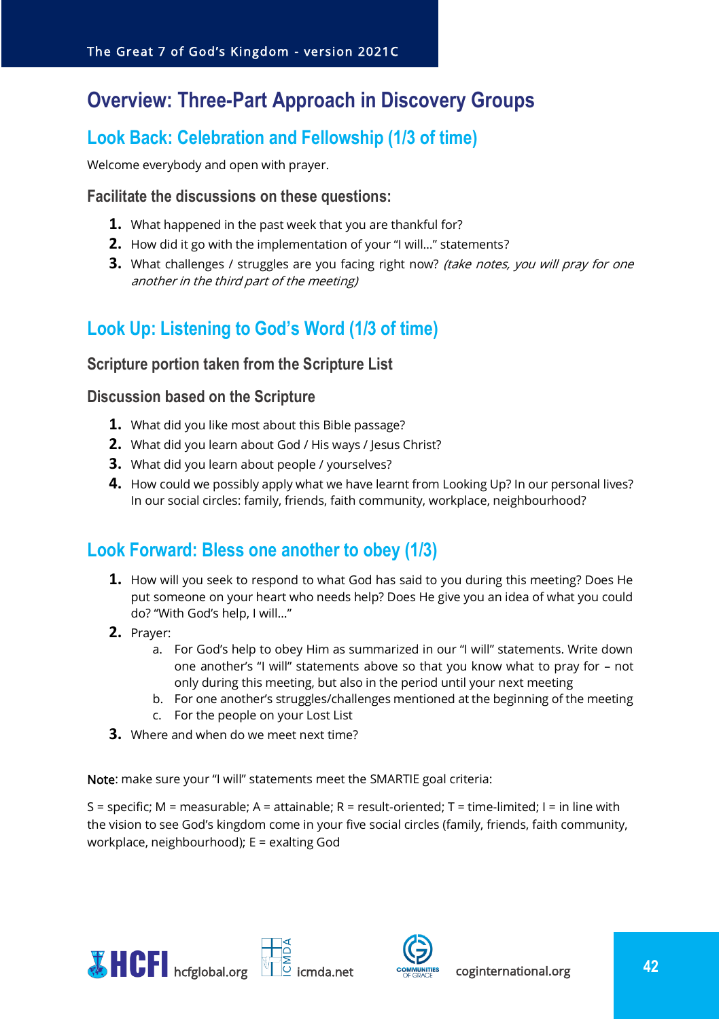## <span id="page-41-0"></span>**Overview: Three-Part Approach in Discovery Groups**

## <span id="page-41-1"></span>**Look Back: Celebration and Fellowship (1/3 of time)**

Welcome everybody and open with prayer.

#### <span id="page-41-2"></span>**Facilitate the discussions on these questions:**

- **1.** What happened in the past week that you are thankful for?
- **2.** How did it go with the implementation of your "I will…" statements?
- **3.** What challenges / struggles are you facing right now? (take notes, you will pray for one another in the third part of the meeting)

## <span id="page-41-3"></span>**Look Up: Listening to God's Word (1/3 of time)**

#### <span id="page-41-4"></span>**Scripture portion taken from the Scripture List**

#### <span id="page-41-5"></span>**Discussion based on the Scripture**

- **1.** What did you like most about this Bible passage?
- **2.** What did you learn about God / His ways / Jesus Christ?
- **3.** What did you learn about people / yourselves?
- **4.** How could we possibly apply what we have learnt from Looking Up? In our personal lives? In our social circles: family, friends, faith community, workplace, neighbourhood?

## <span id="page-41-6"></span>**Look Forward: Bless one another to obey (1/3)**

- **1.** How will you seek to respond to what God has said to you during this meeting? Does He put someone on your heart who needs help? Does He give you an idea of what you could do? "With God's help, I will…"
- **2.** Prayer:
	- a. For God's help to obey Him as summarized in our "I will" statements. Write down one another's "I will" statements above so that you know what to pray for – not only during this meeting, but also in the period until your next meeting
	- b. For one another's struggles/challenges mentioned at the beginning of the meeting
	- c. For the people on your Lost List
- **3.** Where and when do we meet next time?

Note: make sure your "I will" statements meet the SMARTIE goal criteria:

S = specific; M = measurable; A = attainable; R = result-oriented; T = time-limited; I = in line with the vision to see God's kingdom come in your five social circles (family, friends, faith community, workplace, neighbourhood); E = exalting God



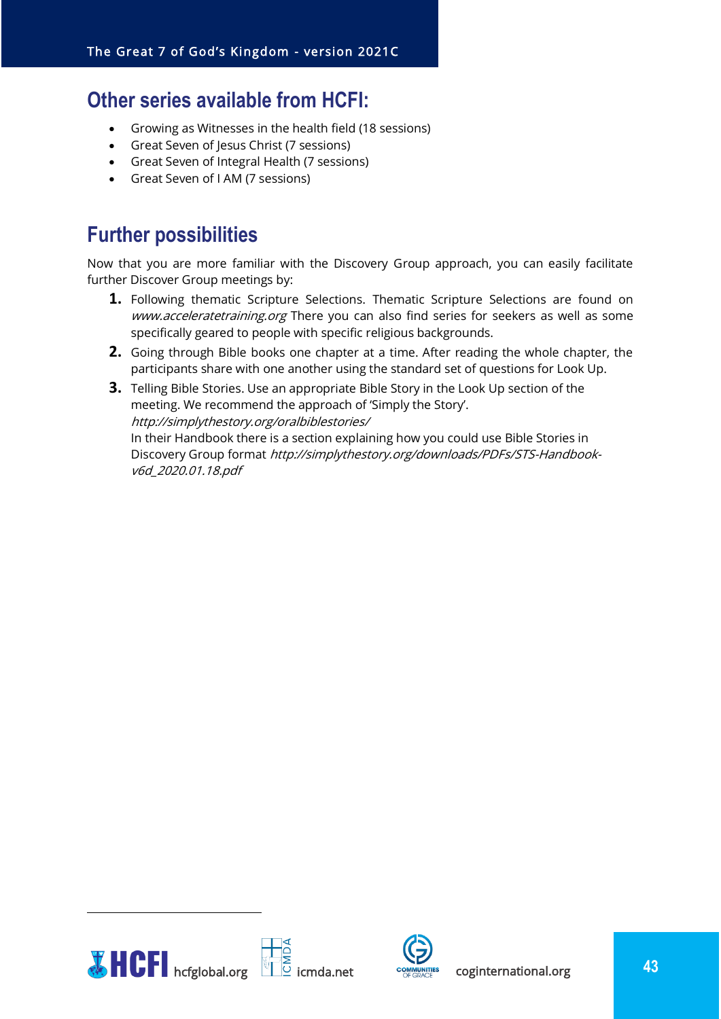## <span id="page-42-0"></span>**Other series available from HCFI:**

- Growing as Witnesses in the health field (18 sessions)
- Great Seven of Jesus Christ (7 sessions)
- Great Seven of Integral Health (7 sessions)
- Great Seven of I AM (7 sessions)

## <span id="page-42-1"></span>**Further possibilities**

Now that you are more familiar with the Discovery Group approach, you can easily facilitate further Discover Group meetings by:

- **1.** Following thematic Scripture Selections. Thematic Scripture Selections are found on www.acceleratetraining.org There you can also find series for seekers as well as some specifically geared to people with specific religious backgrounds.
- **2.** Going through Bible books one chapter at a time. After reading the whole chapter, the participants share with one another using the standard set of questions for Look Up.
- **3.** Telling Bible Stories. Use an appropriate Bible Story in the Look Up section of the meeting. We recommend the approach of 'Simply the Story'. http://simplythestory.org/oralbiblestories/ In their Handbook there is a section explaining how you could use Bible Stories in Discovery Group format http://simplythestory.org/downloads/PDFs/STS-Handbookv6d\_2020.01.18.pdf



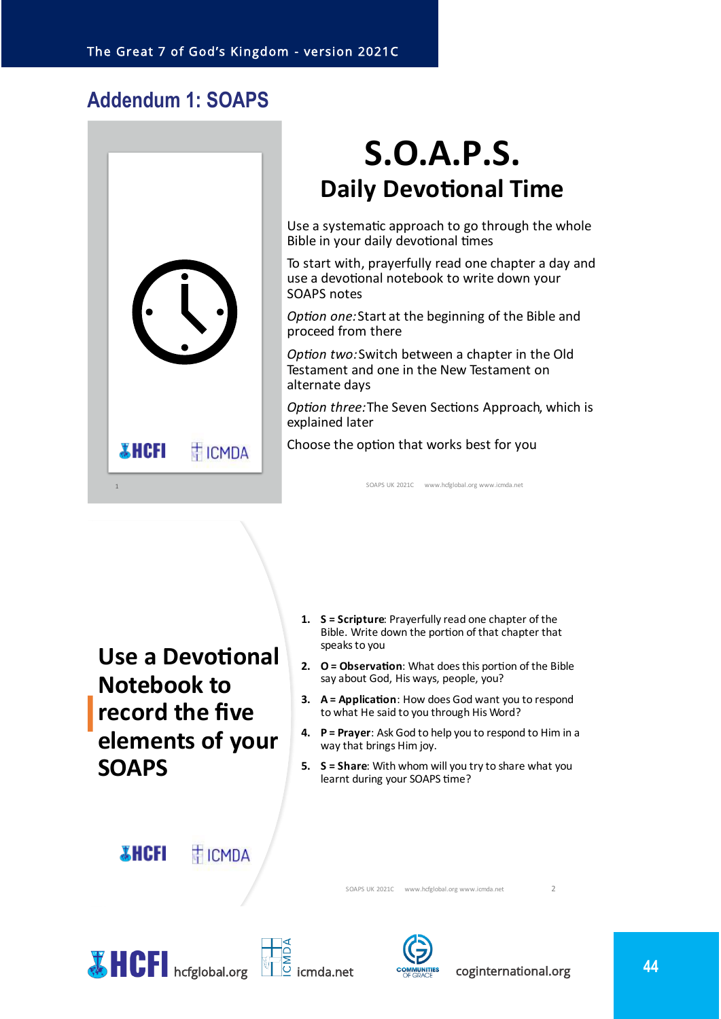## <span id="page-43-0"></span>**Addendum 1: SOAPS**



## **S.O.A.P.S. Daily Devotional Time**

Use a systematic approach to go through the whole Bible in your daily devotional times

To start with, prayerfully read one chapter a day and use a devotional notebook to write down your **SOAPS notes** 

Option one: Start at the beginning of the Bible and proceed from there

Option two: Switch between a chapter in the Old Testament and one in the New Testament on alternate days

Option three: The Seven Sections Approach, which is explained later

Choose the option that works best for you

SOAPS UK 2021C www.hcfglobal.org www.icmda.net

Use a Devotional **Notebook to** record the five elements of your **SOAPS** 

- 1. S = Scripture: Prayerfully read one chapter of the Bible. Write down the portion of that chapter that speaks to you
- 2. O = Observation: What does this portion of the Bible say about God, His ways, people, you?
- 3. A = Application: How does God want you to respond to what He said to you through His Word?
- 4. P = Prayer: Ask God to help you to respond to Him in a way that brings Him joy.
- 5. S = Share: With whom will you try to share what you learnt during your SOAPS time?

*X* **HCFI** 

**TICMDA** 

SOAPS UK 2021C www.hcfglobal.org www.icmda.net







 $\overline{z}$